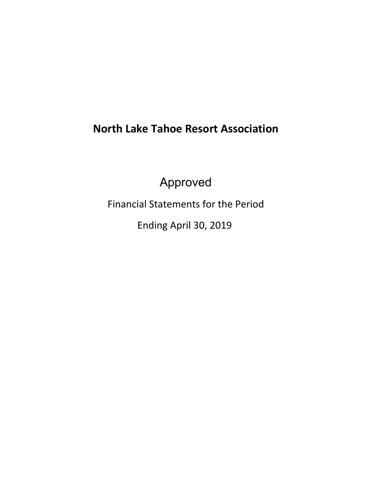# **North Lake Tahoe Resort Association**

Approved

Financial Statements for the Period

Ending April 30, 2019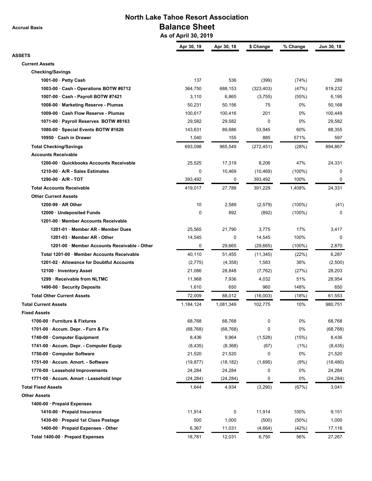**Accrual Basis**

## **North Lake Tahoe Resort Association Balance Sheet**

 **As of April 30, 2019**

|                                                                             | Apr 30, 19 | Apr 30, 18  | \$ Change   | % Change    | Jun 30, 18 |
|-----------------------------------------------------------------------------|------------|-------------|-------------|-------------|------------|
| <b>ASSETS</b>                                                               |            |             |             |             |            |
| <b>Current Assets</b><br><b>Checking/Savings</b>                            |            |             |             |             |            |
| 1001-00 $\cdot$ Petty Cash                                                  | 137        | 536         | (399)       | (74%)       | 289        |
| 1003-00 · Cash - Operations BOTW #6712                                      | 364,750    | 688,153     | (323, 403)  | (47%)       | 619,232    |
| 1007-00 · Cash - Payroll BOTW #7421                                         | 3,110      | 6,865       | (3,755)     | (55%)       | 6,195      |
| 1008-00 · Marketing Reserve - Plumas                                        | 50,231     | 50,156      | 75          | 0%          | 50,168     |
| 1009-00 · Cash Flow Reserve - Plumas                                        | 100,617    | 100,416     | 201         | 0%          | 100,449    |
| 1071-00 · Payroll Reserves BOTW #8163                                       | 29,582     | 29,582      | $\mathbf 0$ | 0%          | 29,582     |
| 1080-00 · Special Events BOTW #1626                                         | 143,631    | 89,686      | 53,945      | 60%         | 88,355     |
| 10950 · Cash in Drawer                                                      | 1,040      | 155         | 885         | 571%        | 597        |
| <b>Total Checking/Savings</b>                                               | 693,098    | 965,549     | (272, 451)  | (28%)       | 894,867    |
| <b>Accounts Receivable</b>                                                  |            |             |             |             |            |
| 1200-00 Quickbooks Accounts Receivable                                      | 25,525     | 17,319      | 8,206       | 47%         | 24,331     |
| 1210-00 · A/R - Sales Estimates                                             | 0          | 10,469      | (10, 469)   | $(100\%)$   | 0          |
| $1290-00 \cdot A/R - TOT$                                                   | 393,492    | 0           | 393,492     | 100%        | 0          |
| <b>Total Accounts Receivable</b>                                            | 419,017    | 27,788      | 391,229     | 1,408%      | 24,331     |
| <b>Other Current Assets</b>                                                 |            |             |             |             |            |
| 1200-99 $\cdot$ AR Other                                                    | 10         | 2,589       | (2,579)     | $(100\%)$   |            |
| 12000 · Undeposited Funds                                                   | 0          | 892         |             |             | (41)<br>0  |
| 1201-00 · Member Accounts Receivable                                        |            |             | (892)       | $(100\%)$   |            |
|                                                                             |            |             |             |             |            |
| 1201-01 · Member AR - Member Dues                                           | 25,565     | 21,790<br>0 | 3,775       | 17%<br>100% | 3,417<br>0 |
| 1201-03 · Member AR - Other<br>1201-00 · Member Accounts Receivable - Other | 14,545     |             | 14,545      |             |            |
|                                                                             | 0          | 29,665      | (29, 665)   | $(100\%)$   | 2,870      |
| Total 1201-00 · Member Accounts Receivable                                  | 40,110     | 51,455      | (11, 345)   | (22%)       | 6,287      |
| 1201-02 · Allowance for Doubtful Accounts                                   | (2,775)    | (4,358)     | 1,583       | 36%         | (2,500)    |
| 12100 · Inventory Asset                                                     | 21,086     | 28,848      | (7, 762)    | (27%)       | 28,203     |
| 1299 · Receivable from NLTMC                                                | 11,968     | 7,936       | 4,032       | 51%         | 28,954     |
| 1490-00 · Security Deposits                                                 | 1,610      | 650         | 960         | 148%        | 650        |
| <b>Total Other Current Assets</b>                                           | 72,009     | 88,012      | (16,003)    | (18%)       | 61,553     |
| <b>Total Current Assets</b>                                                 | 1,184,124  | 1,081,349   | 102,775     | 10%         | 980,751    |
| <b>Fixed Assets</b>                                                         |            |             |             |             |            |
| 1700-00 · Furniture & Fixtures                                              | 68,768     | 68,768      | 0           | 0%          | 68,768     |
| 1701-00 $\cdot$ Accum. Depr. - Furn & Fix                                   | (68, 768)  | (68, 768)   | 0           | 0%          | (68, 768)  |
| 1740-00 Computer Equipment                                                  | 8,436      | 9,964       | (1,528)     | (15%)       | 8,436      |
| 1741-00 · Accum. Depr. - Computer Equip                                     | (8, 435)   | (8,368)     | (67)        | (1%)        | (8, 435)   |
| 1750-00 · Computer Software                                                 | 21,520     | 21,520      | 0           | 0%          | 21,520     |
| 1751-00 · Accum. Amort. - Software                                          | (19, 877)  | (18, 182)   | (1,695)     | (9%)        | (18, 480)  |
| 1770-00 · Leasehold Improvements                                            | 24,284     | 24,284      | 0           | 0%          | 24,284     |
| 1771-00 · Accum. Amort - Leasehold Impr                                     | (24, 284)  | (24, 284)   | 0           | 0%          | (24, 284)  |
| <b>Total Fixed Assets</b>                                                   | 1,644      | 4,934       | (3,290)     | (67%)       | 3,041      |
| <b>Other Assets</b>                                                         |            |             |             |             |            |
| 1400-00 · Prepaid Expenses                                                  |            |             |             |             |            |
| 1410-00 · Prepaid Insurance                                                 | 11,914     | 0           | 11,914      | 100%        | 9,151      |
| 1430-00 · Prepaid 1st Class Postage                                         | 500        | 1,000       | (500)       | $(50\%)$    | 1,000      |
| 1400-00 · Prepaid Expenses - Other                                          | 6,367      | 11,031      | (4,664)     | (42%)       | 17,116     |
| Total 1400-00 · Prepaid Expenses                                            | 18,781     | 12,031      | 6,750       | 56%         | 27,267     |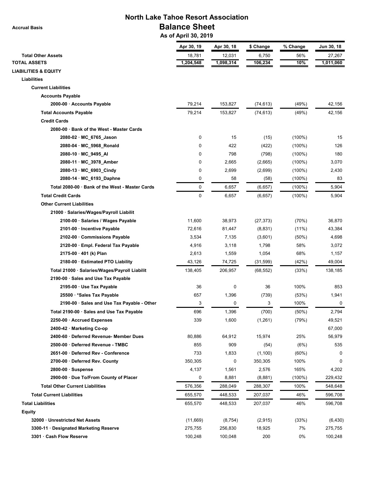**Accrual Basis**

## **North Lake Tahoe Resort Association Balance Sheet**

 **As of April 30, 2019**

|                                                 | Apr 30, 19          | Apr 30, 18          | \$ Change          | % Change  | Jun 30, 18          |
|-------------------------------------------------|---------------------|---------------------|--------------------|-----------|---------------------|
| <b>Total Other Assets</b>                       | 18,781              | 12,031              | 6,750              | 56%       | 27,267              |
| <b>TOTAL ASSETS</b>                             | 1,204,548           | 1,098,314           | 106,234            | 10%       | 1,011,060           |
| <b>LIABILITIES &amp; EQUITY</b>                 |                     |                     |                    |           |                     |
| Liabilities                                     |                     |                     |                    |           |                     |
| <b>Current Liabilities</b>                      |                     |                     |                    |           |                     |
| <b>Accounts Payable</b>                         |                     |                     |                    |           |                     |
| 2000-00 · Accounts Payable                      | 79,214              | 153,827             | (74, 613)          | (49%)     | 42,156              |
| <b>Total Accounts Payable</b>                   | 79,214              | 153,827             | (74, 613)          | (49%)     | 42,156              |
| <b>Credit Cards</b>                             |                     |                     |                    |           |                     |
| 2080-00 · Bank of the West - Master Cards       |                     |                     |                    |           |                     |
| 2080-02 · MC_6765_Jason                         | 0                   | 15                  | (15)               | $(100\%)$ | 15                  |
| 2080-04 · MC_5968_Ronald                        | $\mathbf 0$         | 422                 | (422)              | $(100\%)$ | 126                 |
| 2080-10 · MC_9495_AI                            | 0                   | 798                 | (798)              | $(100\%)$ | 180                 |
| 2080-11 · MC_3978_Amber                         | 0                   | 2,665               | (2,665)            | $(100\%)$ | 3,070               |
| 2080-13 · MC_6903 Cindy                         | 0                   | 2,699               | (2,699)            | $(100\%)$ | 2,430               |
| 2080-14 · MC_6193_Daphne                        | 0                   | 58                  | (58)               | (100%)    | 83                  |
| Total 2080-00 · Bank of the West - Master Cards | 0                   | 6,657               | (6,657)            | $(100\%)$ | 5,904               |
| <b>Total Credit Cards</b>                       | 0                   | 6,657               | (6,657)            | $(100\%)$ | 5,904               |
| <b>Other Current Liabilities</b>                |                     |                     |                    |           |                     |
| 21000 · Salaries/Wages/Payroll Liabilit         |                     |                     |                    |           |                     |
| 2100-00 · Salaries / Wages Payable              | 11,600              | 38,973              | (27, 373)          | (70%)     | 36,870              |
| 2101-00 · Incentive Payable                     | 72,616              | 81,447              | (8,831)            | $(11\%)$  | 43,384              |
| 2102-00 · Commissions Payable                   | 3,534               | 7,135               | (3,601)            | (50%)     | 4,698               |
| 2120-00 · Empl. Federal Tax Payable             | 4,916               | 3,118               | 1,798              | 58%       | 3,072               |
| 2175-00 · 401 (k) Plan                          | 2,613               | 1,559               | 1,054              | 68%       | 1,157               |
| 2180-00 · Estimated PTO Liability               | 43,126              | 74,725              | (31, 599)          | (42%)     | 49,004              |
| Total 21000 · Salaries/Wages/Payroll Liabilit   | 138,405             | 206,957             | (68, 552)          | (33%)     | 138,185             |
| 2190-00 · Sales and Use Tax Payable             |                     |                     |                    |           |                     |
| 2195-00 · Use Tax Payable                       | 36                  | 0                   | 36                 | 100%      | 853                 |
| 25500 · * Sales Tax Payable                     | 657                 | 1,396               | (739)              | (53%)     | 1,941               |
| 2190-00 · Sales and Use Tax Payable - Other     | 3                   | 0                   | 3                  | 100%      | 0                   |
| Total 2190-00 · Sales and Use Tax Payable       | 696                 | 1,396               | (700)              | (50%)     | 2,794               |
| 2250-00 · Accrued Expenses                      | 339                 | 1,600               | (1,261)            | (79%)     | 49,521              |
| 2400-42 · Marketing Co-op                       |                     |                     |                    |           | 67,000              |
| 2400-60 · Deferred Revenue- Member Dues         | 80,886              | 64,912              | 15,974             | 25%       | 56,979              |
| 2500-00 · Deferred Revenue - TMBC               | 855                 | 909                 | (54)               | (6%)      | 535                 |
| 2651-00 · Deferred Rev - Conference             | 733                 | 1,833               | (1, 100)           | $(60\%)$  | 0                   |
| 2700-00 · Deferred Rev. County                  | 350,305             | 0                   | 350,305            | 100%      | 0                   |
| 2800-00 · Suspense                              | 4,137               | 1,561               | 2,576              | 165%      | 4,202               |
| 2900-00 · Due To/From County of Placer          | 0                   | 8,881               | (8,881)            | (100%)    | 229,432             |
| <b>Total Other Current Liabilities</b>          | 576,356             | 288,049             | 288,307            | 100%      | 548,648             |
| <b>Total Current Liabilities</b>                | 655,570             | 448,533             | 207,037            | 46%       | 596,708             |
| <b>Total Liabilities</b>                        | 655,570             | 448,533             | 207,037            | 46%       | 596,708             |
|                                                 |                     |                     |                    |           |                     |
| Equity<br>32000 · Unrestricted Net Assets       |                     |                     |                    | (33%)     |                     |
| 3300-11 · Designated Marketing Reserve          | (11,669)<br>275,755 | (8, 754)<br>256,830 | (2, 915)<br>18,925 | 7%        | (6, 430)<br>275,755 |
| 3301 · Cash Flow Reserve                        | 100,248             | 100,048             | 200                | 0%        | 100,248             |
|                                                 |                     |                     |                    |           |                     |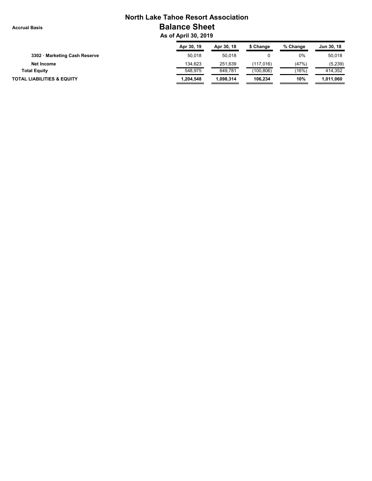#### **Accrual Basis**

## **North Lake Tahoe Resort Association Balance Sheet**

 **As of April 30, 2019**

|                                       | Apr 30, 19 | Apr 30, 18 | \$ Change | % Change | Jun 30, 18 |
|---------------------------------------|------------|------------|-----------|----------|------------|
| 3302 · Marketing Cash Reserve         | 50.018     | 50.018     |           | 0%       | 50,018     |
| Net Income                            | 134.623    | 251,639    | (117.016) | (47%)    | (5,239)    |
| <b>Total Equity</b>                   | 548.975    | 649.781    | (100.806) | (16%)    | 414.352    |
| <b>TOTAL LIABILITIES &amp; EQUITY</b> | 1,204,548  | 1.098.314  | 106.234   | 10%      | 1.011.060  |
|                                       |            |            |           |          |            |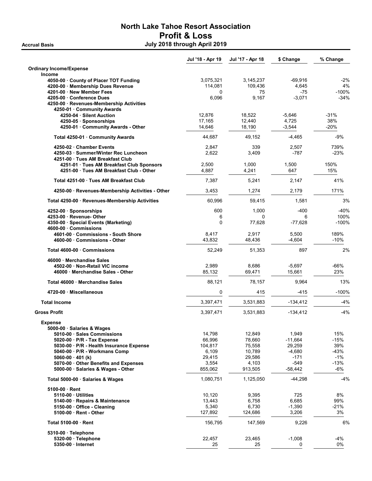## North Lake Tahoe Resort Association Profit & Loss Accrual Basis July 2018 through April 2019

|                                                                                                                                                                                                                                                                                                       | Jul '18 - Apr 19                                                   | Jul '17 - Apr 18                                                   | \$ Change                                                             | % Change                                           |
|-------------------------------------------------------------------------------------------------------------------------------------------------------------------------------------------------------------------------------------------------------------------------------------------------------|--------------------------------------------------------------------|--------------------------------------------------------------------|-----------------------------------------------------------------------|----------------------------------------------------|
| <b>Ordinary Income/Expense</b>                                                                                                                                                                                                                                                                        |                                                                    |                                                                    |                                                                       |                                                    |
| <b>Income</b><br>4050-00 County of Placer TOT Funding<br>4200-00 · Membership Dues Revenue<br>4201-00 · New Member Fees<br>4205-00 Conference Dues<br>4250-00 · Revenues-Membership Activities                                                                                                        | 3,075,321<br>114,081<br>0<br>6,096                                 | 3,145,237<br>109,436<br>75<br>9,167                                | $-69,916$<br>4,645<br>-75<br>$-3,071$                                 | $-2%$<br>4%<br>$-100%$<br>$-34%$                   |
| 4250-01 Community Awards<br>4250-04 · Silent Auction<br>4250-05 · Sponsorships<br>4250-01 · Community Awards - Other                                                                                                                                                                                  | 12,876<br>17,165<br>14,646                                         | 18,522<br>12,440<br>18,190                                         | $-5.646$<br>4,725<br>$-3,544$                                         | $-31%$<br>38%<br>-20%                              |
| Total 4250-01 · Community Awards                                                                                                                                                                                                                                                                      | 44,687                                                             | 49.152                                                             | $-4,465$                                                              | $-9%$                                              |
| 4250-02 Chamber Events<br>4250-03 · Summer/Winter Rec Luncheon<br>4251-00 Tues AM Breakfast Club                                                                                                                                                                                                      | 2,847<br>2,622                                                     | 339<br>3,409                                                       | 2,507<br>$-787$                                                       | 739%<br>$-23%$                                     |
| 4251-01 Tues AM Breakfast Club Sponsors<br>4251-00 Tues AM Breakfast Club - Other                                                                                                                                                                                                                     | 2,500<br>4,887                                                     | 1,000<br>4,241                                                     | 1,500<br>647                                                          | 150%<br>15%                                        |
| Total 4251-00 Tues AM Breakfast Club                                                                                                                                                                                                                                                                  | 7,387                                                              | 5,241                                                              | 2,147                                                                 | 41%                                                |
| 4250-00 · Revenues-Membership Activities - Other                                                                                                                                                                                                                                                      | 3,453                                                              | 1,274                                                              | 2,179                                                                 | 171%                                               |
| Total 4250-00 · Revenues-Membership Activities                                                                                                                                                                                                                                                        | 60.996                                                             | 59,415                                                             | 1,581                                                                 | 3%                                                 |
| 4252-00 Sponsorships<br>4253-00 Revenue- Other<br>4350-00 · Special Events (Marketing)                                                                                                                                                                                                                | 600<br>6<br>0                                                      | 1,000<br>$\Omega$<br>77,628                                        | $-400$<br>6<br>$-77,628$                                              | $-40%$<br>100%<br>$-100%$                          |
| 4600-00 Commissions<br>4601-00 · Commissions - South Shore<br>4600-00 Commissions - Other                                                                                                                                                                                                             | 8,417<br>43,832                                                    | 2,917<br>48,436                                                    | 5,500<br>$-4,604$                                                     | 189%<br>$-10%$                                     |
| Total 4600-00 Commissions                                                                                                                                                                                                                                                                             | 52,249                                                             | 51,353                                                             | 897                                                                   | 2%                                                 |
| 46000 Merchandise Sales<br>4502-00 Non-Retail VIC income<br>46000 Merchandise Sales - Other                                                                                                                                                                                                           | 2,989<br>85,132                                                    | 8,686<br>69,471                                                    | $-5,697$<br>15,661                                                    | -66%<br>23%                                        |
| Total 46000 Merchandise Sales                                                                                                                                                                                                                                                                         | 88,121                                                             | 78,157                                                             | 9,964                                                                 | 13%                                                |
| 4720-00 Miscellaneous                                                                                                                                                                                                                                                                                 | 0                                                                  | 415                                                                | -415                                                                  | $-100%$                                            |
| <b>Total Income</b>                                                                                                                                                                                                                                                                                   | 3,397,471                                                          | 3,531,883                                                          | $-134,412$                                                            | $-4%$                                              |
| <b>Gross Profit</b>                                                                                                                                                                                                                                                                                   | 3,397,471                                                          | 3,531,883                                                          | $-134,412$                                                            | $-4%$                                              |
| <b>Expense</b><br>5000-00 · Salaries & Wages<br>5010-00 · Sales Commissions<br>$5020-00$ $\cdot$ P/R - Tax Expense<br>5030-00 · P/R - Health Insurance Expense<br>5040-00 · P/R - Workmans Comp<br>$5060-00 \cdot 401$ (k)<br>5070-00 Other Benefits and Expenses<br>5000-00 Salaries & Wages - Other | 14,798<br>66,996<br>104,817<br>6,109<br>29,415<br>3,554<br>855,062 | 12,849<br>78,660<br>75,558<br>10,789<br>29,586<br>4,103<br>913,505 | 1,949<br>$-11,664$<br>29,259<br>$-4,680$<br>-171<br>-549<br>$-58,442$ | 15%<br>$-15%$<br>39%<br>-43%<br>-1%<br>-13%<br>-6% |
| Total 5000-00 · Salaries & Wages                                                                                                                                                                                                                                                                      | 1,080,751                                                          | 1,125,050                                                          | -44,298                                                               | -4%                                                |
| $5100-00$ Rent<br>5110-00 Utilities<br>5140-00 · Repairs & Maintenance<br>5150-00 Office - Cleaning<br>5100-00 · Rent - Other                                                                                                                                                                         | 10,120<br>13,443<br>5,340<br>127,892                               | 9,395<br>6,758<br>6,730<br>124,686                                 | 725<br>6,685<br>$-1,390$<br>3,206                                     | 8%<br>99%<br>$-21%$<br>3%                          |
| Total 5100-00 Rent                                                                                                                                                                                                                                                                                    | 156,795                                                            | 147,569                                                            | 9,226                                                                 | 6%                                                 |
| $5310-00 \cdot$ Telephone<br>$5320-00$ Telephone<br>5350-00 - Internet                                                                                                                                                                                                                                | 22,457<br>25                                                       | 23,465<br>25                                                       | $-1,008$<br>0                                                         | -4%<br>0%                                          |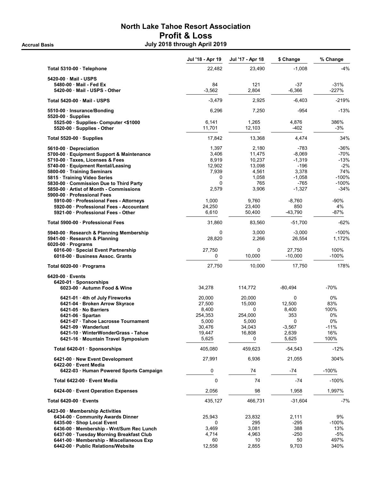## North Lake Tahoe Resort Association Profit & Loss Accrual Basis July 2018 through April 2019

|                                                                       | Jul '18 - Apr 19 | Jul '17 - Apr 18      | \$ Change           | % Change        |
|-----------------------------------------------------------------------|------------------|-----------------------|---------------------|-----------------|
| Total 5310-00 · Telephone                                             | 22,482           | 23,490                | $-1,008$            | $-4%$           |
| 5420-00 - Mail - USPS                                                 |                  |                       |                     |                 |
| 5480-00 Mail - Fed Ex                                                 | 84               | 121                   | $-37$               | $-31%$          |
| 5420-00 Mail - USPS - Other                                           | $-3,562$         | 2,804                 | $-6,366$            | $-227%$         |
| Total 5420-00 Mail - USPS                                             | $-3,479$         | 2,925                 | $-6,403$            | $-219%$         |
| 5510-00 · Insurance/Bonding                                           | 6,296            | 7,250                 | -954                | $-13%$          |
| $5520-00 \cdot$ Supplies                                              |                  |                       |                     |                 |
| 5525-00 · Supplies- Computer <\$1000<br>5520-00 · Supplies - Other    | 6,141<br>11,701  | 1,265<br>12,103       | 4,876<br>-402       | 386%<br>-3%     |
| Total $5520-00 \cdot$ Supplies                                        | 17,842           | 13,368                | 4,474               | 34%             |
| 5610-00 Depreciation                                                  | 1,397            | 2,180                 | $-783$              | $-36%$          |
| 5700-00 · Equipment Support & Maintenance                             | 3,406            | 11,475                | $-8,069$            | -70%            |
| 5710-00 · Taxes, Licenses & Fees                                      | 8,919            | 10,237                | $-1,319$            | $-13%$          |
| 5740-00 · Equipment Rental/Leasing                                    | 12,902           | 13,098                | $-196$              | $-2%$           |
| 5800-00 · Training Seminars                                           | 7,939            | 4,561                 | 3,378               | 74%             |
| 5815 Training Video Series                                            | 0                | 1,058                 | $-1,058$            | $-100%$         |
| 5830-00 Commission Due to Third Party                                 | $\Omega$         | 765                   | $-765$              | $-100%$         |
| 5850-00 · Artist of Month - Commissions                               | 2,579            | 3,906                 | $-1,327$            | $-34%$          |
| 5900-00 · Professional Fees                                           |                  |                       |                     |                 |
| 5910-00 · Professional Fees - Attorneys                               | 1,000            | 9,760                 | -8,760              | $-90%$          |
| 5920-00 Professional Fees - Accountant                                | 24,250           | 23,400                | 850                 | 4%              |
| 5921-00 Professional Fees - Other                                     | 6,610            | 50,400                | -43,790             | $-87%$          |
| Total 5900-00 · Professional Fees                                     | 31,860           | 83,560                | $-51,700$           | $-62%$          |
| 5940-00 · Research & Planning Membership                              | 0                | 3,000                 | $-3,000$            | $-100%$         |
| 5941-00 · Research & Planning                                         | 28,820           | 2,266                 | 26,554              | 1,172%          |
| $6020-00$ · Programs                                                  |                  |                       |                     |                 |
| 6016-00 · Special Event Partnership<br>6018-00 Business Assoc. Grants | 27,750<br>0      | $\mathbf 0$<br>10,000 | 27,750<br>$-10,000$ | 100%<br>$-100%$ |
| Total 6020-00 · Programs                                              | 27,750           | 10,000                | 17,750              | 178%            |
| $6420-00$ Events                                                      |                  |                       |                     |                 |
| 6420-01 Sponsorships                                                  |                  |                       |                     |                 |
| 6023-00 Autumn Food & Wine                                            | 34,278           | 114,772               | -80,494             | -70%            |
| 6421-01 · 4th of July Fireworks                                       | 20,000           | 20,000                | 0                   | 0%              |
| 6421-04 · Broken Arrow Skyrace                                        | 27,500           | 15,000                | 12,500              | 83%             |
| 6421-05 No Barriers                                                   | 8,400            | 0                     | 8,400               | 100%            |
| 6421-06 Spartan                                                       | 254,353          | 254,000               | 353                 | 0%              |
| 6421-07 · Tahoe Lacrosse Tournament                                   | 5,000            | 5,000                 | 0                   | 0%              |
| $6421-09 \cdot W$ anderlust                                           | 30,476           | 34,043                | $-3,567$            | $-11%$          |
| 6421-10 WinterWonderGrass - Tahoe                                     | 19,447           | 16,808                | 2,639               | 16%             |
| 6421-16 Mountain Travel Symposium                                     | 5,625            | 0                     | 5,625               | 100%            |
| Total 6420-01 · Sponsorships                                          | 405,080          | 459,623               | $-54,543$           | $-12%$          |
| 6421-00 New Event Development<br>6422-00 Event Media                  | 27,991           | 6,936                 | 21,055              | 304%            |
| 6422-03 · Human Powered Sports Campaign                               | 0                | 74                    | -74                 | $-100%$         |
| Total 6422-00 · Event Media                                           | 0                | 74                    | $-74$               | $-100%$         |
| 6424-00 Event Operation Expenses                                      | 2,056            | 98                    | 1,958               | 1,997%          |
| Total 6420-00 · Events                                                | 435,127          | 466,731               | $-31,604$           | $-7%$           |
| 6423-00 Membership Activities                                         |                  |                       |                     |                 |
| 6434-00 Community Awards Dinner                                       | 25,943           | 23,832                | 2,111               | 9%              |
| 6435-00 · Shop Local Event                                            | 0                | 295                   | -295                | -100%           |
| 6436-00 Membership - Wnt/Sum Rec Lunch                                | 3,469            | 3,081                 | 388                 | 13%             |
| 6437-00 Tuesday Morning Breakfast Club                                | 4,714            | 4,963                 | $-250$              | $-5%$           |
| 6441-00 · Membership - Miscellaneous Exp                              | 60               | 10                    | 50                  | 497%            |
| 6442-00 Public Relations/Website                                      | 12,558           | 2,855                 | 9,703               | 340%            |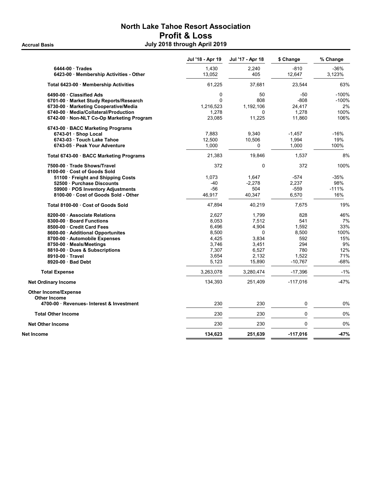## North Lake Tahoe Resort Association Profit & Loss Accrual Basis July 2018 through April 2019

|                                           | Jul '18 - Apr 19 | Jul '17 - Apr 18 | \$ Change   | % Change |
|-------------------------------------------|------------------|------------------|-------------|----------|
| 6444-00 Trades                            | 1,430            | 2,240            | $-810$      | -36%     |
| 6423-00 · Membership Activities - Other   | 13,052           | 405              | 12,647      | 3,123%   |
| Total 6423-00 Membership Activities       | 61,225           | 37,681           | 23,544      | 63%      |
| 6490-00 Classified Ads                    | $\mathbf 0$      | 50               | $-50$       | $-100%$  |
| 6701-00 · Market Study Reports/Research   | 0                | 808              | $-808$      | $-100%$  |
| 6730-00 · Marketing Cooperative/Media     | 1,216,523        | 1,192,106        | 24,417      | 2%       |
| 6740-00 · Media/Collateral/Production     | 1,278            | 0                | 1,278       | 100%     |
| 6742-00 Non-NLT Co-Op Marketing Program   | 23,085           | 11,225           | 11,860      | 106%     |
| 6743-00 · BACC Marketing Programs         |                  |                  |             |          |
| 6743-01 · Shop Local                      | 7,883            | 9,340            | $-1,457$    | $-16%$   |
| 6743-03 · Touch Lake Tahoe                | 12,500           | 10,506           | 1,994       | 19%      |
| 6743-05 · Peak Your Adventure             | 1,000            | 0                | 1,000       | 100%     |
| Total 6743-00 · BACC Marketing Programs   | 21,383           | 19,846           | 1,537       | 8%       |
| 7500-00 · Trade Shows/Travel              | 372              | $\mathbf 0$      | 372         | 100%     |
| 8100-00 Cost of Goods Sold                |                  |                  |             |          |
| 51100 Freight and Shipping Costs          | 1,073            | 1,647            | $-574$      | $-35%$   |
| 52500 Purchase Discounts                  | $-40$            | $-2,278$         | 2,237       | 98%      |
| 59900 · POS Inventory Adjustments         | $-56$            | 504              | $-559$      | $-111%$  |
| 8100-00 Cost of Goods Sold - Other        | 46,917           | 40,347           | 6,570       | 16%      |
| Total 8100-00 Cost of Goods Sold          | 47,894           | 40,219           | 7,675       | 19%      |
| 8200-00 Associate Relations               | 2,627            | 1,799            | 828         | 46%      |
| 8300-00 Board Functions                   | 8,053            | 7,512            | 541         | 7%       |
| 8500-00 Credit Card Fees                  | 6,496            | 4,904            | 1,592       | 33%      |
| 8600-00 · Additional Opportunites         | 8,500            | $\mathbf 0$      | 8,500       | 100%     |
| 8700-00 · Automobile Expenses             | 4,425            | 3.834            | 592         | 15%      |
| 8750-00 · Meals/Meetings                  | 3,746            | 3,451            | 294         | 9%       |
| 8810-00 Dues & Subscriptions              | 7,307            | 6,527            | 780         | 12%      |
| 8910-00 Travel                            | 3,654            | 2,132            | 1,522       | 71%      |
| 8920-00 Bad Debt                          | 5,123            | 15,890           | $-10,767$   | $-68%$   |
| <b>Total Expense</b>                      | 3,263,078        | 3,280,474        | $-17,396$   | $-1%$    |
| <b>Net Ordinary Income</b>                | 134,393          | 251,409          | $-117,016$  | $-47%$   |
| <b>Other Income/Expense</b>               |                  |                  |             |          |
| Other Income                              |                  |                  |             |          |
| 4700-00 · Revenues- Interest & Investment | 230              | 230              | 0           | 0%       |
| <b>Total Other Income</b>                 | 230              | 230              | 0           | 0%       |
| <b>Net Other Income</b>                   | 230              | 230              | $\mathbf 0$ | 0%       |
| Net Income                                | 134,623          | 251,639          | $-117,016$  | $-47%$   |
|                                           |                  |                  |             |          |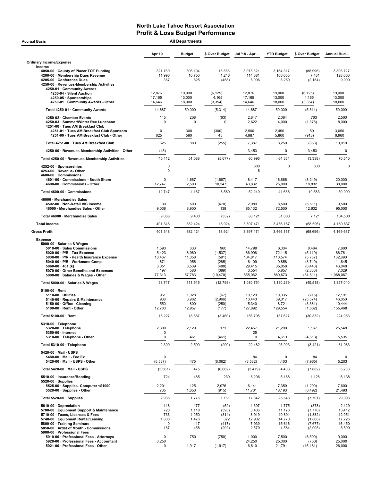| <b>All Departments</b><br><b>Accrual Basis</b>                                                                                                                                                                                                                                                        |                                                           |                                                         |                                                                  |                                                                    |                                                                   |                                                                             |                                                                      |  |  |
|-------------------------------------------------------------------------------------------------------------------------------------------------------------------------------------------------------------------------------------------------------------------------------------------------------|-----------------------------------------------------------|---------------------------------------------------------|------------------------------------------------------------------|--------------------------------------------------------------------|-------------------------------------------------------------------|-----------------------------------------------------------------------------|----------------------------------------------------------------------|--|--|
|                                                                                                                                                                                                                                                                                                       | Apr 19                                                    | <b>Budget</b>                                           | \$ Over Budget                                                   | Jul '18 - Apr                                                      | <b>YTD Budget</b>                                                 | \$ Over Budget                                                              | Annual Bud                                                           |  |  |
| <b>Ordinary Income/Expense</b>                                                                                                                                                                                                                                                                        |                                                           |                                                         |                                                                  |                                                                    |                                                                   |                                                                             |                                                                      |  |  |
| Income<br>4050-00 County of Placer TOT Funding<br>4200-00 · Membership Dues Revenue<br>4205-00 · Conference Dues                                                                                                                                                                                      | 321,760<br>11,996<br>367                                  | 306,194<br>10,750<br>825                                | 15,566<br>1,246<br>(458)                                         | 3,075,321<br>114,081<br>6,096                                      | 3,164,317<br>106,600<br>8,250                                     | (88,996)<br>7,481<br>(2, 154)                                               | 3.806.727<br>128,000<br>9,900                                        |  |  |
| 4250-00 · Revenues-Membership Activities<br>4250-01 · Community Awards<br>4250-04 · Silent Auction                                                                                                                                                                                                    | 12,876                                                    | 19,000                                                  | (6, 125)                                                         | 12,876                                                             | 19,000                                                            | (6, 125)                                                                    | 19,000                                                               |  |  |
| 4250-05 · Sponsorships<br>4250-01 · Community Awards - Other                                                                                                                                                                                                                                          | 17,165<br>14,646                                          | 13,000<br>18,000                                        | 4,165<br>(3, 354)                                                | 17,165<br>14,646                                                   | 13,000<br>18,000                                                  | 4,165<br>(3, 354)                                                           | 13,000<br>18,000                                                     |  |  |
| Total 4250-01 · Community Awards                                                                                                                                                                                                                                                                      | 44,687                                                    | 50,000                                                  | (5, 314)                                                         | 44,687                                                             | 50,000                                                            | (5,314)                                                                     | 50,000                                                               |  |  |
| 4250-02 · Chamber Events<br>4250-03 · Summer/Winter Rec Luncheon<br>4251-00 · Tues AM Breakfast Club                                                                                                                                                                                                  | 145<br>0                                                  | 208<br>0                                                | (63)<br>$\Omega$                                                 | 2,847<br>2,622                                                     | 2,084<br>4,000                                                    | 763<br>(1, 378)                                                             | 2,500<br>8,000                                                       |  |  |
| 4251-01 · Tues AM Breakfast Club Sponsors<br>4251-00 · Tues AM Breakfast Club - Other                                                                                                                                                                                                                 | 0<br>625                                                  | 300<br>580                                              | (300)<br>45                                                      | 2,500<br>4,887                                                     | 2,450<br>5,800                                                    | 50<br>(913)                                                                 | 3,050<br>6,960                                                       |  |  |
| Total 4251-00 · Tues AM Breakfast Club                                                                                                                                                                                                                                                                | 625                                                       | 880                                                     | (255)                                                            | 7,387                                                              | 8,250                                                             | (863)                                                                       | 10,010                                                               |  |  |
| 4250-00 · Revenues-Membership Activities - Other                                                                                                                                                                                                                                                      | (45)                                                      |                                                         |                                                                  | 3,453                                                              | $\mathbf 0$                                                       | 3,453                                                                       |                                                                      |  |  |
| Total 4250-00 · Revenues-Membership Activities                                                                                                                                                                                                                                                        | 45,412                                                    | 51,088                                                  | (5,677)                                                          | 60,996                                                             | 64,334                                                            | (3, 338)                                                                    | 70,510                                                               |  |  |
| 4252-00 · Sponsorships<br>4253-00 · Revenue- Other<br>4600-00 · Commissions                                                                                                                                                                                                                           | $\mathbf 0$<br>$\mathbf 0$                                |                                                         |                                                                  | 600<br>6                                                           | 0                                                                 | 600                                                                         |                                                                      |  |  |
| 4601-00 Commissions - South Shore<br>4600-00 Commissions - Other                                                                                                                                                                                                                                      | $\Omega$<br>12,747                                        | 1,667<br>2,500                                          | (1,667)<br>10,247                                                | 8,417<br>43,832                                                    | 16,666<br>25,000                                                  | (8, 249)<br>18,832                                                          | 20,000<br>30,000                                                     |  |  |
| Total 4600-00 · Commissions                                                                                                                                                                                                                                                                           | 12,747                                                    | 4,167                                                   | 8,580                                                            | 52,249                                                             | 41,666                                                            | 10,583                                                                      | 50,000                                                               |  |  |
| 46000 · Merchandise Sales<br>4502-00 · Non-Retail VIC income<br>46000 · Merchandise Sales - Other                                                                                                                                                                                                     | 30<br>9,038                                               | 500<br>8,900                                            | (470)<br>138                                                     | 2,989<br>85,132                                                    | 8,500<br>72,500                                                   | (5,511)<br>12,632                                                           | 9,500<br>95,000                                                      |  |  |
| Total 46000 · Merchandise Sales                                                                                                                                                                                                                                                                       | 9,068                                                     | 9,400                                                   | (332)                                                            | 88,121                                                             | 81,000                                                            | 7,121                                                                       | 104,500                                                              |  |  |
| <b>Total Income</b>                                                                                                                                                                                                                                                                                   | 401,348                                                   | 382,424                                                 | 18,924                                                           | 3,397,471                                                          | 3,466,167                                                         | (68, 696)                                                                   | 4,169,637                                                            |  |  |
| <b>Gross Profit</b>                                                                                                                                                                                                                                                                                   | 401,348                                                   | 382,424                                                 | 18,924                                                           | 3,397,471                                                          | 3,466,167                                                         | (68, 696)                                                                   | 4,169,637                                                            |  |  |
| <b>Expense</b><br>5000-00 · Salaries & Wages<br>5010-00 · Sales Commissions<br>$5020.00 \cdot P/R$ - Tax Expense<br>5030-00 · P/R - Health Insurance Expense<br>5040-00 · P/R - Workmans Comp<br>5060-00 $\cdot$ 401 (k)<br>5070-00 Other Benefits and Expenses<br>5000-00 · Salaries & Wages - Other | 1,593<br>5,423<br>10,467<br>671<br>3,051<br>197<br>77,313 | 633<br>6,960<br>11,058<br>956<br>3,539<br>586<br>87,783 | 960<br>(1, 537)<br>(591)<br>(285)<br>(488)<br>(389)<br>(10, 470) | 14,798<br>66,996<br>104,817<br>6,109<br>29,415<br>3,554<br>855,062 | 6,334<br>72,115<br>110,574<br>9,858<br>35,858<br>5,857<br>889,673 | 8,464<br>(5, 119)<br>(5,757)<br>(3,749)<br>(6, 443)<br>(2, 303)<br>(34,611) | 7,600<br>86,761<br>132,690<br>11,845<br>43,048<br>7,029<br>1,068,067 |  |  |
| Total 5000-00 · Salaries & Wages                                                                                                                                                                                                                                                                      | 98,717                                                    | 111,515                                                 | (12, 798)                                                        | 1.080.751                                                          | 1,130,269                                                         | (49, 518)                                                                   | 1,357,040                                                            |  |  |
| $5100-00 \cdot$ Rent<br>$5110-00 \cdot$ Utilities<br>5140-00 · Repairs & Maintenance<br>5150-00 · Office - Cleaning<br>$5100-00 \cdot$ Rent - Other                                                                                                                                                   | 961<br>936<br>550<br>12,780                               | 1,028<br>3,902<br>800<br>12,957                         | (67)<br>(2,966)<br>(250)<br>(177)                                | 10,120<br>13,443<br>5,340<br>127,892                               | 10,335<br>39,017<br>8,721<br>129,554                              | (215)<br>(25, 574)<br>(3,381)<br>(1,662)                                    | 12,191<br>46,850<br>10,444<br>155,468                                |  |  |
| Total 5100-00 · Rent                                                                                                                                                                                                                                                                                  | 15,227                                                    | 18,687                                                  | (3,460)                                                          | 156,795                                                            | 187,627                                                           | (30, 832)                                                                   | 224,953                                                              |  |  |
| 5310-00 · Telephone<br>5320-00 · Telephone<br>5350-00 · Internet                                                                                                                                                                                                                                      | 2,300<br>0                                                | 2,129                                                   | 171                                                              | 22,457<br>25                                                       | 21,290                                                            | 1,167                                                                       | 25,548                                                               |  |  |
| 5310-00 · Telephone - Other                                                                                                                                                                                                                                                                           | 0                                                         | 461                                                     | (461)                                                            | $\mathsf 0$                                                        | 4,613                                                             | (4, 613)                                                                    | 5,535                                                                |  |  |
| Total 5310-00 · Telephone                                                                                                                                                                                                                                                                             | 2,300                                                     | 2,590                                                   | (290)                                                            | 22,482                                                             | 25,903                                                            | (3, 421)                                                                    | 31,083                                                               |  |  |
| 5420-00 · Mail - USPS<br>5480-00 Mail Fed Ex<br>5420-00 · Mail - USPS - Other                                                                                                                                                                                                                         | $\pmb{0}$<br>(5, 587)                                     | 475                                                     | (6,062)                                                          | 84<br>(3, 562)                                                     | $\mathbf 0$<br>4,403                                              | 84<br>(7, 965)                                                              | 5,203                                                                |  |  |
| Total 5420-00 · Mail - USPS                                                                                                                                                                                                                                                                           | (5, 587)                                                  | 475                                                     | (6,062)                                                          | (3, 479)                                                           | 4,403                                                             | (7,882)                                                                     | 5,203                                                                |  |  |
| 5510-00 · Insurance/Bonding<br>$5520-00 \cdot$ Supplies                                                                                                                                                                                                                                               | 724                                                       | 485                                                     | 239                                                              | 6,296                                                              | 5,168                                                             | 1,128                                                                       | 6,138                                                                |  |  |
| 5525-00 · Supplies- Computer <\$1000<br>5520-00 · Supplies - Other                                                                                                                                                                                                                                    | 2,201<br>735                                              | 125<br>1,650                                            | 2,076<br>(915)                                                   | 6,141<br>11,701                                                    | 7,350<br>18,193                                                   | (1, 209)<br>(6, 492)                                                        | 7,600<br>21,493                                                      |  |  |
| Total 5520-00 · Supplies                                                                                                                                                                                                                                                                              | 2,936                                                     | 1,775                                                   | 1,161                                                            | 17,842                                                             | 25,543                                                            | (7, 701)                                                                    | 29,093                                                               |  |  |
| 5610-00 Depreciation<br>5700-00 · Equipment Support & Maintenance<br>5710-00 · Taxes, Licenses & Fees<br>5740-00 · Equipment Rental/Leasing<br>5800-00 · Training Seminars<br>5850-00 · Artist of Month - Commissions                                                                                 | 118<br>720<br>736<br>1,800<br>0<br>167                    | 177<br>1,118<br>1,050<br>1,478<br>417<br>458            | (59)<br>(398)<br>(314)<br>322<br>(417)<br>(292)                  | 1,397<br>3,406<br>8,919<br>12,902<br>7,939<br>2,579                | 1,775<br>11,176<br>10,801<br>14,770<br>15,616<br>4,584            | (378)<br>(7, 770)<br>(1,882)<br>(1,868)<br>(7,677)<br>(2,005)               | 2,129<br>13,412<br>12,951<br>17,726<br>16,450<br>5,500               |  |  |
| 5900-00 · Professional Fees<br>5910-00 · Professional Fees - Attorneys<br>5920-00 · Professional Fees - Accountant<br>5921-00 · Professional Fees - Other                                                                                                                                             | 0<br>3,250<br>0                                           | 750<br>1,917                                            | (750)<br>(1, 917)                                                | 1,000<br>24,250<br>6,610                                           | 7,500<br>25,000<br>21,791                                         | (6,500)<br>(750)<br>(15, 181)                                               | 9,000<br>25,000<br>26,000                                            |  |  |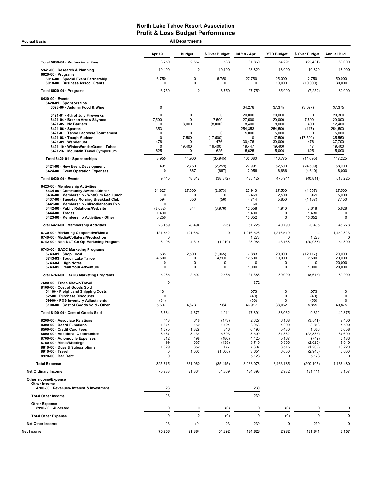Accrual Basis **Accrual Basis All Departments** 

|                                                                                                                                                                                                                                                  | Apr 19                                                     | <b>Budget</b>                                              | \$ Over Budget                                                     | Jul '18 - Apr                                                        | <b>YTD Budget</b>                                                     | \$ Over Budget                                                                    | Annual Bud                                                             |
|--------------------------------------------------------------------------------------------------------------------------------------------------------------------------------------------------------------------------------------------------|------------------------------------------------------------|------------------------------------------------------------|--------------------------------------------------------------------|----------------------------------------------------------------------|-----------------------------------------------------------------------|-----------------------------------------------------------------------------------|------------------------------------------------------------------------|
| Total 5900-00 · Professional Fees                                                                                                                                                                                                                | 3,250                                                      | 2,667                                                      | 583                                                                | 31,860                                                               | 54,291                                                                | (22, 431)                                                                         | 60,000                                                                 |
| 5941-00 · Research & Planning<br>$6020-00 \cdot$ Programs                                                                                                                                                                                        | 10,100                                                     | $\mathbf 0$                                                | 10,100                                                             | 28,820                                                               | 18,000                                                                | 10,820                                                                            | 18,000                                                                 |
| 6016-00 · Special Event Partnership<br>6018-00 · Business Assoc. Grants                                                                                                                                                                          | 6,750<br>0                                                 | 0<br>0                                                     | 6,750<br>0                                                         | 27,750<br>$\Omega$                                                   | 25,000<br>10,000                                                      | 2,750<br>(10,000)                                                                 | 50,000<br>30,000                                                       |
| Total 6020-00 · Programs                                                                                                                                                                                                                         | 6,750                                                      | $\mathbf 0$                                                | 6,750                                                              | 27,750                                                               | 35,000                                                                | (7, 250)                                                                          | 80,000                                                                 |
| 6420-00 · Events<br>6420-01 · Sponsorships<br>6023-00 · Autumn Food & Wine                                                                                                                                                                       | 0                                                          |                                                            |                                                                    | 34,278                                                               | 37,375                                                                | (3,097)                                                                           | 37,375                                                                 |
| 6421-01 · 4th of July Fireworks<br>6421-04 · Broken Arrow Skyrace<br>6421-05 · No Barriers<br>$6421-06 \cdot$ Spartan<br>6421-07 · Tahoe Lacrosse Tournament<br>6421-08 · Tough Mudder                                                           | 0<br>7,500<br>0<br>353<br>0<br>0                           | 0<br>$\mathbf 0$<br>8,000<br>$\mathbf 0$<br>17,500         | 0<br>7,500<br>(8,000)<br>0<br>(17,500)                             | 20,000<br>27,500<br>8,400<br>254,353<br>5,000<br>$\Omega$            | 20,000<br>20,000<br>8,000<br>254,500<br>5,000<br>17,500               | 0<br>7,500<br>400<br>(147)<br>$\mathbf 0$<br>(17,500)                             | 20,300<br>20,000<br>12,400<br>254,500<br>5,000<br>35,550               |
| 6421-09 · Wanderlust<br>6421-10 · WinterWonderGrass - Tahoe<br>6421-16 · Mountain Travel Symposium                                                                                                                                               | 476<br>0<br>625                                            | 0<br>19,400<br>$\mathbf 0$                                 | 476<br>(19, 400)<br>625                                            | 30,476<br>19,447<br>5,625                                            | 30,000<br>19,400<br>5,000                                             | 476<br>47<br>625                                                                  | 37,700<br>19,400<br>5,000                                              |
| Total 6420-01 · Sponsorships                                                                                                                                                                                                                     | 8,955                                                      | 44,900                                                     | (35, 945)                                                          | 405,080                                                              | 416,775                                                               | (11,695)                                                                          | 447,225                                                                |
| 6421-00 · New Event Development<br>6424-00 · Event Operation Expenses                                                                                                                                                                            | 491<br>$\mathbf 0$                                         | 2,750<br>667                                               | (2, 259)<br>(667)                                                  | 27,991<br>2,056                                                      | 52,500<br>6,666                                                       | (24, 509)<br>(4,610)                                                              | 58,000<br>8,000                                                        |
| Total 6420-00 · Events                                                                                                                                                                                                                           | 9,445                                                      | 48,317                                                     | (38, 872)                                                          | 435,127                                                              | 475.941                                                               | (40, 814)                                                                         | 513,225                                                                |
| 6423-00 · Membership Activities<br>6434-00 · Community Awards Dinner<br>6436-00 · Membership - Wnt/Sum Rec Lunch<br>6437-00 · Tuesday Morning Breakfast Club<br>6441-00 · Membership - Miscellaneous Exp                                         | 24,827<br>$\mathbf 0$<br>594<br>$\mathbf 0$                | 27,500<br>$\Omega$<br>650                                  | (2,673)<br>$\Omega$<br>(56)                                        | 25,943<br>3,469<br>4,714<br>60                                       | 27,500<br>2,500<br>5,850                                              | (1, 557)<br>969<br>(1, 137)                                                       | 27,500<br>5,000<br>7,150                                               |
| 6442-00 · Public Relations/Website<br>$6444-00 \cdot Trades$<br>6423-00 · Membership Activities - Other                                                                                                                                          | (3,632)<br>1,430<br>5,250                                  | 344                                                        | (3,976)                                                            | 12,558<br>1,430<br>13,052                                            | 4,940<br>0<br>0                                                       | 7,618<br>1,430<br>13,052                                                          | 5,628<br>$\mathbf 0$<br>0                                              |
| Total 6423-00 · Membership Activities                                                                                                                                                                                                            | 28,469                                                     | 28,494                                                     | (25)                                                               | 61,225                                                               | 40,790                                                                | 20,435                                                                            | 45,278                                                                 |
| 6730-00 · Marketing Cooperative/Media<br>6740-00 · Media/Collateral/Production<br>6742-00 · Non-NLT Co-Op Marketing Program                                                                                                                      | 121,652<br>0<br>3,106                                      | 121,652<br>4,316                                           | 0<br>(1, 210)                                                      | 1,216,523<br>1,278<br>23,085                                         | 1,216,519<br>$\mathbf 0$<br>43,168                                    | 4<br>1,278<br>(20, 083)                                                           | 1,459,823<br>O<br>51,800                                               |
| 6743-00 · BACC Marketing Programs<br>$6743.01 \cdot$ Shop Local<br>6743-03 · Touch Lake Tahoe<br>$6743-04 \cdot$ High Notes<br>6743-05 · Peak Your Adventure                                                                                     | 535<br>4,500<br>$\mathsf 0$<br>$\mathsf 0$                 | 2,500<br>0<br>0<br>0                                       | (1, 965)<br>4,500<br>$\mathbf 0$<br>0                              | 7,883<br>12,500<br>0<br>1,000                                        | 20,000<br>10,000<br>0<br>$\mathbf 0$                                  | (12, 117)<br>2,500<br>$\mathbf 0$<br>1,000                                        | 20,000<br>20,000<br>20,000<br>20,000                                   |
| Total 6743-00 · BACC Marketing Programs                                                                                                                                                                                                          | 5,035                                                      | 2,500                                                      | 2,535                                                              | 21,383                                                               | 30,000                                                                | (8,617)                                                                           | 80,000                                                                 |
| 7500-00 · Trade Shows/Travel<br>8100-00 Cost of Goods Sold                                                                                                                                                                                       | 0                                                          |                                                            |                                                                    | 372                                                                  |                                                                       |                                                                                   |                                                                        |
| 51100 · Freight and Shipping Costs<br>52500 · Purchase Discounts<br>59900 · POS Inventory Adjustments<br>8100-00 · Cost of Goods Sold - Other                                                                                                    | 131<br>$\mathbf 0$<br>(84)<br>5,637                        | 4,673                                                      | 964                                                                | 1,073<br>(40)<br>(56)<br>46,917                                      | 0<br>$\mathbf 0$<br>$\mathbf 0$<br>38,062                             | 1,073<br>(40)<br>(56)<br>8,855                                                    | 0<br>$\mathbf 0$<br>$\mathbf 0$<br>49,875                              |
| Total 8100-00 · Cost of Goods Sold                                                                                                                                                                                                               | 5,684                                                      | 4,673                                                      | 1,011                                                              | 47,894                                                               | 38,062                                                                | 9,832                                                                             | 49,875                                                                 |
| 8200-00 · Associate Relations<br>8300-00 · Board Functions<br>8500-00 · Credit Card Fees<br>8600-00 · Additional Opportunites<br>8700-00 · Automobile Expenses<br>8750-00 · Meals/Meetings<br>8810-00 · Dues & Subscriptions<br>8910-00 · Travel | 443<br>1,874<br>1,675<br>8,437<br>312<br>499<br>1,029<br>0 | 616<br>150<br>1,329<br>3,134<br>498<br>637<br>852<br>1,000 | (173)<br>1,724<br>346<br>5,303<br>(186)<br>(138)<br>177<br>(1,000) | 2,627<br>8,053<br>6,496<br>8,500<br>4,425<br>3,746<br>7,307<br>3,654 | 6,168<br>4,200<br>5,430<br>31,332<br>5,167<br>6,366<br>8,516<br>6,600 | (3, 541)<br>3,853<br>1,066<br>(22, 832)<br>(742)<br>(2,620)<br>(1,209)<br>(2,946) | 7,400<br>4,500<br>6,658<br>37,600<br>6,183<br>7,640<br>10,220<br>6,600 |
| 8920-00 · Bad Debt                                                                                                                                                                                                                               | 0                                                          |                                                            |                                                                    | 5,123                                                                | 0                                                                     | 5,123                                                                             | 0                                                                      |
| <b>Total Expense</b>                                                                                                                                                                                                                             | 325,615                                                    | 361,060                                                    | (35, 445)                                                          | 3,263,078                                                            | 3,463,185                                                             | (200, 107)                                                                        | 4,166,480                                                              |
| <b>Net Ordinary Income</b><br>Other Income/Expense<br>Other Income<br>4700-00 · Revenues- Interest & Investment                                                                                                                                  | 75,733<br>23                                               | 21,364                                                     | 54,369                                                             | 134,393<br>230                                                       | 2,982                                                                 | 131,411                                                                           | 3,157                                                                  |
| <b>Total Other Income</b>                                                                                                                                                                                                                        | 23                                                         |                                                            |                                                                    | 230                                                                  |                                                                       |                                                                                   |                                                                        |
| <b>Other Expense</b><br>8990-00 · Allocated                                                                                                                                                                                                      | 0                                                          | $\mathbf 0$                                                | (0)                                                                | 0                                                                    | (0)                                                                   | 0                                                                                 | 0                                                                      |
| <b>Total Other Expense</b>                                                                                                                                                                                                                       | 0                                                          | $\mathbf 0$                                                | (0)                                                                | 0                                                                    | (0)                                                                   | $\pmb{0}$                                                                         | 0                                                                      |
| <b>Net Other Income</b>                                                                                                                                                                                                                          | 23                                                         | (0)                                                        | 23                                                                 | 230                                                                  | $\pmb{0}$                                                             | 230                                                                               | 0                                                                      |
| Net Income                                                                                                                                                                                                                                       | 75,756                                                     | 21,364                                                     | 54,392                                                             | 134,623                                                              | 2,982                                                                 | 131,641                                                                           | 3,157                                                                  |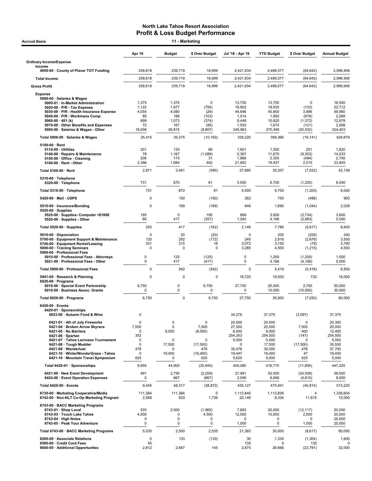| Accrual Basis                                                                                       |                      | 11 - Marketing |                         |                     |                    |                      |                      |
|-----------------------------------------------------------------------------------------------------|----------------------|----------------|-------------------------|---------------------|--------------------|----------------------|----------------------|
|                                                                                                     | Apr 19               | <b>Budget</b>  | \$ Over Budget          | Jul '18 - Apr 19    | <b>YTD Budget</b>  | \$ Over Budget       | <b>Annual Budget</b> |
| <b>Ordinary Income/Expense</b>                                                                      |                      |                |                         |                     |                    |                      |                      |
| Income<br>4050-00 County of Placer TOT Funding                                                      | 258,618              | 239,719        | 18,899                  | 2,421,934           | 2,486,577          | (64, 642)            | 2,996,906            |
| <b>Total Income</b>                                                                                 | 258,618              | 239,719        | 18,899                  | 2,421,934           | 2,486,577          | (64, 642)            | 2,996,906            |
| <b>Gross Profit</b>                                                                                 | 258,618              | 239,719        | 18,899                  | 2,421,934           | 2,486,577          | (64, 642)            | 2,996,906            |
| <b>Expense</b>                                                                                      |                      |                |                         |                     |                    |                      |                      |
| 5000-00 · Salaries & Wages<br>5000-01 · In-Market Administration                                    | 1,375                | 1,375          | $\mathbf 0$             | 13,750              | 13,750             | 0                    | 16,500               |
| $5020-00 \cdot P/R$ - Tax Expense<br>5030-00 · P/R - Health Insurance Expense                       | 1,122<br>4,054       | 1,877<br>4,080 | (755)<br>(26)           | 18,802<br>44,696    | 18,935<br>40,800   | (133)<br>3,896       | 22,712<br>48,960     |
| 5040-00 · P/R - Workmans Comp<br>5060-00 $\cdot$ 401 (k)                                            | 85<br>699            | 188<br>1,073   | (103)<br>(374)          | 1,014<br>9,448      | 1,892<br>10,820    | (878)<br>(1, 372)    | 2,268<br>12,978      |
| 5070-00 · Other Benefits and Expenses<br>5000-00 · Salaries & Wages - Other                         | 72<br>18,008         | 167<br>26,815  | (95)<br>(8, 807)        | 1,553<br>249,963    | 1,674<br>270,495   | (121)<br>(20, 532)   | 2,008<br>324,453     |
| Total 5000-00 · Salaries & Wages                                                                    | 25,415               | 35,575         | (10, 160)               | 339,225             | 358,366            | (19, 141)            | 429,879              |
| $5100-00 \cdot$ Rent                                                                                |                      |                |                         |                     |                    |                      |                      |
| $5110-00 \cdot$ Utilities<br>5140-00 · Repairs & Maintenance                                        | 201<br>78            | 135<br>1,167   | 66<br>(1,089)           | 1,601<br>2,367      | 1,350<br>11,670    | 251<br>(9, 303)      | 1,620<br>14,033      |
| 5150-00 Office - Cleaning                                                                           | 206                  | 175            | 31                      | 1,866               | 2,350              | (484)                | 2,700                |
| 5100-00 · Rent - Other                                                                              | 2,386                | 1,984          | 402                     | 21,852              | 19,837             | 2,015                | 23,805               |
| Total 5100-00 · Rent                                                                                | 2,871                | 3,461          | (590)                   | 27,685              | 35,207             | (7, 522)             | 42,158               |
| 5310-00 · Telephone<br>5320-00 · Telephone                                                          | 731                  | 670            | 61                      | 5,500               | 6,700              | (1, 200)             | 8,040                |
| Total 5310-00 · Telephone                                                                           | 731                  | 670            | 61                      | 5,500               | 6,700              | (1,200)              | 8,040                |
| 5420-00 · Mail - USPS                                                                               | 0                    | 150            | (150)                   | 262                 | 750                | (488)                | 900                  |
| 5510-00 · Insurance/Bonding                                                                         | $\mathbf 0$          | 169            | (169)                   | 646                 | 1,690              | (1,044)              | 2,028                |
| $5520-00 \cdot$ Supplies<br>5525-00 · Supplies- Computer <\$1000<br>5520-00 · Supplies - Other      | 195<br>60            | 0<br>417       | 195<br>(357)            | 866<br>1,283        | 3,600<br>4,166     | (2,734)<br>(2,883)   | 3,600<br>5,000       |
| Total 5520-00 · Supplies                                                                            | 255                  | 417            | (162)                   | 2,149               | 7,766              | (5,617)              | 8,600                |
| 5610-00 · Depreciation                                                                              | $\mathbf 0$<br>120   | 20<br>292      | (20)                    | $\mathbf 0$<br>240  | 200<br>2,916       | (200)                | 240                  |
| 5700-00 · Equipment Support & Maintenance<br>5740-00 · Equipment Rental/Leasing                     | 331                  | 315            | (172)<br>16             | 3,072               | 3,150              | (2,676)<br>(78)      | 3,500<br>3,780       |
| 5800-00 · Training Seminars<br>5900-00 · Professional Fees                                          | 0                    | 0              | 0                       | 3,285               | 4,500              | (1,215)              | 4,500                |
| 5910-00 · Professional Fees - Attorneys<br>5921-00 · Professional Fees - Other                      | 0<br>$\mathbf 0$     | 125<br>417     | (125)<br>(417)          | 0<br>0              | 1,250<br>4,166     | (1,250)<br>(4, 166)  | 1,500<br>5,000       |
| Total 5900-00 · Professional Fees                                                                   | 0                    | 542            | (542)                   | $\mathbf 0$         | 5,416              | (5, 416)             | 6,500                |
| 5941-00 · Research & Planning                                                                       | 0                    | $\mathbf 0$    | 0                       | 18,720              | 18,000             | 720                  | 18,000               |
| $6020-00 \cdot$ Programs<br>6016-00 · Special Event Partnership<br>6018-00 · Business Assoc. Grants | 6,750<br>0           | 0<br>0         | 6,750<br>0              | 27,750<br>0         | 25,000<br>10,000   | 2,750<br>(10,000)    | 50,000<br>30,000     |
| Total 6020-00 · Programs                                                                            | 6,750                | $\mathbf 0$    | 6,750                   | 27,750              | 35,000             | (7,250)              | 80,000               |
| 6420-00 · Events<br>6420-01 · Sponsorships                                                          |                      |                |                         |                     |                    |                      |                      |
| 6023-00 · Autumn Food & Wine                                                                        | 0                    |                |                         | 34,278              | 37,375             | (3,097)              | 37,375               |
| 6421-01 · 4th of July Fireworks<br>6421-04 · Broken Arrow Skyrace                                   | $\Omega$<br>7,500    | 0<br>0         | $\mathbf 0$<br>7,500    | 20,000<br>27,500    | 20,000<br>20,000   | 0<br>7,500           | 20,300<br>20,000     |
| 6421-05 · No Barriers<br>6421-06 · Spartan                                                          | 0<br>353             | 8,000          | (8,000)                 | 8,400<br>254,353    | 8,000<br>254,500   | 400<br>(147)         | 12,400<br>254,500    |
| 6421-07 · Tahoe Lacrosse Tournament<br>6421-08 · Tough Mudder                                       | $\Omega$<br>$\Omega$ | 0<br>17,500    | $\mathbf 0$<br>(17,500) | 5,000<br>0          | 5,000<br>17,500    | O<br>(17,500)        | 5,000<br>35,550      |
| 6421-09 · Wanderlust                                                                                | 476                  | O              | 476                     | 30,476              | 30,000             | 476                  | 37,700               |
| 6421-10 · WinterWonderGrass - Tahoe<br>6421-16 · Mountain Travel Symposium                          | 0<br>625             | 19,400<br>0    | (19, 400)<br>625        | 19,447<br>5,625     | 19,400<br>5,000    | 47<br>625            | 19,400<br>5,000      |
| Total 6420-01 · Sponsorships                                                                        | 8,955                | 44,900         | (35, 945)               | 405,080             | 416,775            | (11, 695)            | 447,225              |
| 6421-00 · New Event Development<br>6424-00 · Event Operation Expenses                               | 491<br>0             | 2,750<br>667   | (2,259)<br>(667)        | 27,991<br>2,056     | 52,500<br>6,666    | (24, 509)<br>(4,610) | 58,000<br>8,000      |
| Total 6420-00 · Events                                                                              | 9,445                | 48,317         | (38, 872)               | 435,127             | 475,941            | (40, 814)            | 513,225              |
| 6730-00 · Marketing Cooperative/Media<br>6742-00 · Non-NLT Co-Op Marketing Program                  | 111,384<br>2,569     | 111,384<br>833 | 0<br>1,736              | 1,113,840<br>20,149 | 1,113,836<br>8,334 | 4<br>11,815          | 1,336,604<br>10,000  |
| 6743-00 · BACC Marketing Programs                                                                   |                      |                |                         |                     |                    |                      |                      |
| 6743-01 · Shop Local<br>6743-03 · Touch Lake Tahoe                                                  | 535<br>4,500         | 2,500<br>0     | (1,965)<br>4,500        | 7,883<br>12,500     | 20,000<br>10,000   | (12, 117)<br>2,500   | 20,000<br>20,000     |
| $6743-04 \cdot$ High Notes<br>6743-05 · Peak Your Adventure                                         | 0<br>0               | 0<br>0         | 0<br>0                  | 0<br>1,000          | 0<br>0             | $\mathbf 0$<br>1,000 | 20,000<br>20,000     |
| Total 6743-00 · BACC Marketing Programs                                                             | 5,035                | 2,500          | 2,535                   | 21,383              | 30,000             | (8,617)              | 80,000               |
| 8200-00 · Associate Relations                                                                       | $\pmb{0}$            | 133            | (133)                   | 30                  | 1,334              | (1, 304)             | 1,600                |
| 8500-00 · Credit Card Fees<br>8600-00 · Additional Opportunites                                     | 45<br>2,812          | 2,667          | 145                     | 135<br>2,875        | 0<br>26,666        | 135<br>(23, 791)     | 32,000               |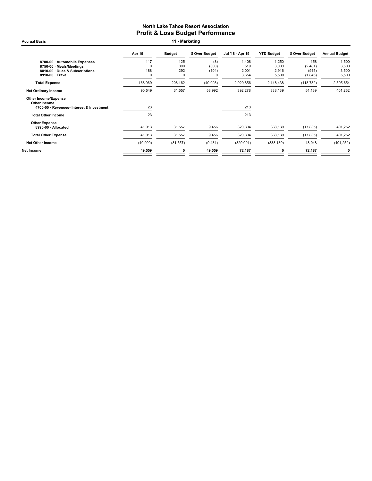Accrual Basis **11 - Marketing** 

|                                                                                          | Apr 19             | <b>Budget</b> | \$ Over Budget | Jul '18 - Apr 19 | <b>YTD Budget</b> | \$ Over Budget   | <b>Annual Budget</b> |
|------------------------------------------------------------------------------------------|--------------------|---------------|----------------|------------------|-------------------|------------------|----------------------|
| 8700-00 · Automobile Expenses<br>8750-00 · Meals/Meetings                                | 117<br>$\mathbf 0$ | 125<br>300    | (8)<br>(300)   | 1,408<br>519     | 1,250<br>3,000    | 158<br>(2,481)   | 1,500<br>3,600       |
| 8810-00 Dues & Subscriptions<br>8910-00 · Travel                                         | 188<br>$\Omega$    | 292<br>0      | (104)<br>O     | 2,001<br>3,654   | 2,916<br>5,500    | (915)<br>(1,846) | 3,500<br>5,500       |
| <b>Total Expense</b>                                                                     | 168,069            | 208,162       | (40,093)       | 2,029,656        | 2,148,438         | (118, 782)       | 2,595,654            |
| <b>Net Ordinary Income</b>                                                               | 90,549             | 31,557        | 58,992         | 392,278          | 338,139           | 54,139           | 401,252              |
| <b>Other Income/Expense</b><br>Other Income<br>4700-00 · Revenues- Interest & Investment | 23                 |               |                | 213              |                   |                  |                      |
| <b>Total Other Income</b>                                                                | 23                 |               |                | 213              |                   |                  |                      |
| <b>Other Expense</b><br>8990-00 · Allocated                                              | 41,013             | 31,557        | 9,456          | 320,304          | 338,139           | (17, 835)        | 401,252              |
| <b>Total Other Expense</b>                                                               | 41,013             | 31,557        | 9,456          | 320,304          | 338,139           | (17, 835)        | 401,252              |
| <b>Net Other Income</b>                                                                  | (40,990)           | (31, 557)     | (9, 434)       | (320,091)        | (338, 139)        | 18,048           | (401, 252)           |
| Net Income                                                                               | 49,559             | 0             | 49,559         | 72,187           | 0                 | 72,187           | 0                    |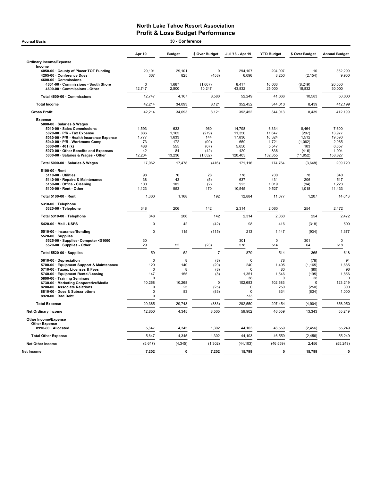| 30 - Conference<br><b>Accrual Basis</b>                                                    |               |                |                   |                         |                   |                    |                      |  |
|--------------------------------------------------------------------------------------------|---------------|----------------|-------------------|-------------------------|-------------------|--------------------|----------------------|--|
|                                                                                            | Apr 19        | <b>Budget</b>  | \$ Over Budget    | Jul '18 - Apr 19        | <b>YTD Budget</b> | \$ Over Budget     | <b>Annual Budget</b> |  |
| <b>Ordinary Income/Expense</b>                                                             |               |                |                   |                         |                   |                    |                      |  |
| Income                                                                                     |               |                |                   |                         |                   |                    |                      |  |
| 4050-00 County of Placer TOT Funding<br>4205-00 · Conference Dues<br>4600-00 · Commissions | 29,101<br>367 | 29,101<br>825  | 0<br>(458)        | 294,107<br>6,096        | 294,097<br>8,250  | 10<br>(2, 154)     | 352,299<br>9,900     |  |
| 4601-00 Commissions - South Shore<br>4600-00 · Commissions - Other                         | 0<br>12,747   | 1.667<br>2,500 | (1,667)<br>10,247 | 8.417<br>43,832         | 16,666<br>25,000  | (8, 249)<br>18,832 | 20.000<br>30,000     |  |
| Total 4600-00 · Commissions                                                                | 12,747        | 4,167          | 8,580             | 52,249                  | 41,666            | 10,583             | 50,000               |  |
| <b>Total Income</b>                                                                        | 42,214        | 34,093         | 8,121             | 352,452                 | 344,013           | 8,439              | 412,199              |  |
| <b>Gross Profit</b>                                                                        | 42,214        | 34,093         | 8,121             | 352,452                 | 344,013           | 8,439              | 412,199              |  |
| <b>Expense</b>                                                                             |               |                |                   |                         |                   |                    |                      |  |
| 5000-00 · Salaries & Wages                                                                 |               |                |                   |                         |                   |                    |                      |  |
| 5010-00 · Sales Commissions                                                                | 1,593         | 633            | 960               | 14,798                  | 6,334             | 8,464              | 7,600                |  |
| 5020-00 · P/R - Tax Expense                                                                | 886           | 1,165          | (279)             | 11,350                  | 11,647            | (297)              | 13,977               |  |
| 5030-00 · P/R - Health Insurance Expense                                                   | 1,777         | 1,633          | 144               | 17,836                  | 16,324            | 1,512              | 19,590               |  |
| 5040-00 · P/R - Workmans Comp                                                              | 73            | 172            | (99)              | 659                     | 1,721             | (1,062)            | 2,065                |  |
| 5060-00 $\cdot$ 401 (k)                                                                    | 488           | 555            | (67)              | 5,650                   | 5,547             | 103                | 6,657                |  |
| 5070-00 · Other Benefits and Expenses                                                      | 42            | 84             | (42)              | 420                     | 836               | (416)              | 1,004                |  |
| 5000-00 · Salaries & Wages - Other                                                         | 12,204        | 13,236         | (1,032)           | 120,403                 | 132,355           | (11, 952)          | 158,827              |  |
| Total 5000-00 · Salaries & Wages                                                           | 17,062        | 17,478         | (416)             | 171,116                 | 174,764           | (3,648)            | 209,720              |  |
| 5100-00 · Rent                                                                             |               |                |                   |                         |                   |                    |                      |  |
| 5110-00 · Utilities                                                                        | 98            | 70             | 28                | 778                     | 700               | 78                 | 840                  |  |
| 5140-00 · Repairs & Maintenance                                                            | 38            | 43             | (5)               | 637                     | 431               | 206                | 517                  |  |
| 5150-00 Office - Cleaning                                                                  | 100           | 102            | (2)               | 925                     | 1.019             | (94)               | 1.223                |  |
| 5100-00 · Rent - Other                                                                     | 1,123         | 953            | 170               | 10,545                  | 9,527             | 1,018              | 11,433               |  |
| Total 5100-00 · Rent                                                                       | 1,360         | 1,168          | 192               | 12,884                  | 11,677            | 1,207              | 14,013               |  |
| 5310-00 · Telephone                                                                        |               |                |                   |                         |                   |                    |                      |  |
| 5320-00 · Telephone                                                                        | 348           | 206            | 142               | 2,314                   | 2,060             | 254                | 2,472                |  |
| Total 5310-00 · Telephone                                                                  | 348           | 206            | 142               | 2,314                   | 2,060             | 254                | 2,472                |  |
| 5420-00 · Mail - USPS                                                                      | $\mathbf 0$   | 42             | (42)              | 98                      | 416               | (318)              | 500                  |  |
| 5510-00 · Insurance/Bonding<br>$5520-00 \cdot$ Supplies                                    | $\Omega$      | 115            | (115)             | 213                     | 1,147             | (934)              | 1,377                |  |
| 5525-00 · Supplies- Computer <\$1000                                                       | 30            |                |                   | 301                     | $\mathbf 0$       | 301                | $\mathbf 0$          |  |
| 5520-00 · Supplies - Other                                                                 | 29            | 52             | (23)              | 578                     | 514               | 64                 | 618                  |  |
| Total 5520-00 · Supplies                                                                   | 59            | 52             | $\overline{7}$    | 879                     | 514               | 365                | 618                  |  |
| 5610-00 · Depreciation                                                                     | $\mathbf 0$   | 8              | (8)               | $\mathbf 0$             | 78                | (78)               | 94                   |  |
| 5700-00 · Equipment Support & Maintenance                                                  | 120           | 140            | (20)              | 240                     | 1,405             | (1, 165)           | 1,685                |  |
| 5710-00 · Taxes, Licenses & Fees                                                           | $\Omega$      | 8              | (8)               | $\Omega$                | 80                | (80)               | 96                   |  |
| 5740-00 · Equipment Rental/Leasing                                                         | 147           | 155            | (8)               | 1,351                   | 1,546             | (195)              | 1,856                |  |
| 5800-00 · Training Seminars                                                                | $\Omega$      |                |                   | 38                      | $\mathbf 0$       | 38                 | $\mathbf 0$          |  |
| 6730-00 · Marketing Cooperative/Media                                                      | 10,268        | 10,268         | 0                 | 102,683                 | 102,683           | $\Omega$           | 123,219              |  |
| 8200-00 · Associate Relations                                                              | 0<br>$\Omega$ | 25<br>83       | (25)              | $\mathbf 0$<br>$\Omega$ | 250<br>834        | (250)              | 300                  |  |
| 8810-00 · Dues & Subscriptions<br>8920-00 · Bad Debt                                       | $\Omega$      |                | (83)              | 733                     |                   | (834)              | 1,000                |  |
| <b>Total Expense</b>                                                                       | 29,365        | 29,748         | (383)             | 292,550                 | 297,454           | (4,904)            | 356,950              |  |
| <b>Net Ordinary Income</b>                                                                 | 12,850        | 4,345          | 8,505             | 59,902                  | 46,559            | 13,343             | 55,249               |  |
|                                                                                            |               |                |                   |                         |                   |                    |                      |  |
| Other Income/Expense<br><b>Other Expense</b>                                               |               |                |                   |                         |                   |                    |                      |  |
| 8990-00 · Allocated                                                                        | 5,647         | 4,345          | 1,302             | 44,103                  | 46,559            | (2, 456)           | 55,249               |  |
| <b>Total Other Expense</b>                                                                 | 5,647         | 4,345          | 1,302             | 44,103                  | 46,559            | (2, 456)           | 55,249               |  |
| <b>Net Other Income</b>                                                                    | (5,647)       | (4, 345)       | (1, 302)          | (44, 103)               | (46, 559)         | 2,456              | (55, 249)            |  |
| Net Income                                                                                 | 7,202         | 0              | 7,202             | 15,799                  | 0                 | 15,799             | 0                    |  |
|                                                                                            |               |                |                   |                         |                   |                    |                      |  |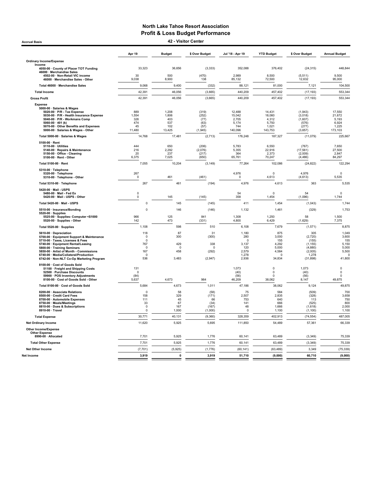Accrual Basis 42 - Visitor Center

|                                                                                                                                                                                                                                                                                                               | Apr 19                                                                      | <b>Budget</b>                                 | \$ Over Budget                                     | Jul '18 - Apr 19                                                    | <b>YTD Budget</b>                                                    | \$ Over Budget                                                                  | <b>Annual Budget</b>                                                   |
|---------------------------------------------------------------------------------------------------------------------------------------------------------------------------------------------------------------------------------------------------------------------------------------------------------------|-----------------------------------------------------------------------------|-----------------------------------------------|----------------------------------------------------|---------------------------------------------------------------------|----------------------------------------------------------------------|---------------------------------------------------------------------------------|------------------------------------------------------------------------|
| <b>Ordinary Income/Expense</b>                                                                                                                                                                                                                                                                                |                                                                             |                                               |                                                    |                                                                     |                                                                      |                                                                                 |                                                                        |
| Income<br>4050-00 · County of Placer TOT Funding                                                                                                                                                                                                                                                              | 33,323                                                                      | 36,656                                        | (3, 333)                                           | 352,088                                                             | 376,402                                                              | (24, 315)                                                                       | 448,844                                                                |
| 46000 · Merchandise Sales<br>4502-00 · Non-Retail VIC income<br>46000 · Merchandise Sales - Other                                                                                                                                                                                                             | 30<br>9,038                                                                 | 500<br>8,900                                  | (470)<br>138                                       | 2,989<br>85,132                                                     | 8,500<br>72,500                                                      | (5,511)<br>12,632                                                               | 9.500<br>95,000                                                        |
| Total 46000 · Merchandise Sales                                                                                                                                                                                                                                                                               | 9,068                                                                       | 9,400                                         | (332)                                              | 88,121                                                              | 81,000                                                               | 7,121                                                                           | 104,500                                                                |
| <b>Total Income</b>                                                                                                                                                                                                                                                                                           | 42,391                                                                      | 46,056                                        | (3,665)                                            | 440,209                                                             | 457,402                                                              | (17, 193)                                                                       | 553,344                                                                |
| <b>Gross Profit</b>                                                                                                                                                                                                                                                                                           | 42,391                                                                      | 46,056                                        | (3,665)                                            | 440,209                                                             | 457,402                                                              | (17, 193)                                                                       | 553,344                                                                |
| <b>Expense</b><br>5000-00 · Salaries & Wages<br>5020-00 · P/R - Tax Expense<br>5030-00 · P/R - Health Insurance Expense<br>5040-00 · P/R - Workmans Comp<br>5060-00 $\cdot$ 401 (k)<br>5070-00 · Other Benefits and Expenses<br>5000-00 · Salaries & Wages - Other                                            | 889<br>1,554<br>326<br>474<br>45<br>11,480                                  | 1,208<br>1,806<br>403<br>537<br>102<br>13,425 | (319)<br>(252)<br>(77)<br>(63)<br>(57)<br>(1, 945) | 12,488<br>15,042<br>2,705<br>5,174<br>744<br>140,096                | 14,431<br>18,060<br>4,312<br>5,750<br>1,021<br>143,753               | (1,943)<br>(3,018)<br>(1,607)<br>(576)<br>(277)<br>(3,657)                      | 17,550<br>21,672<br>5,193<br>6,924<br>1,225<br>173,103                 |
| Total 5000-00 · Salaries & Wages                                                                                                                                                                                                                                                                              | 14,768                                                                      | 17,481                                        | (2, 713)                                           | 176,248                                                             | 187,327                                                              | (11,079)                                                                        | 225,667                                                                |
| 5100-00 · Rent<br>5110-00 · Utilities<br>5140-00 · Repairs & Maintenance<br>5150-00 · Office - Cleaning<br>5100-00 · Rent - Other                                                                                                                                                                             | 444<br>216<br>20<br>6,375                                                   | 650<br>2,292<br>237<br>7,025                  | (206)<br>(2,076)<br>(217)<br>(650)                 | 5,783<br>5,355<br>364<br>65,761                                     | 6,550<br>22.916<br>2,373<br>70.247                                   | (767)<br>(17, 561)<br>(2,009)<br>(4, 486)                                       | 7,650<br>27,500<br>2,847<br>84,297                                     |
| Total 5100-00 · Rent                                                                                                                                                                                                                                                                                          | 7,055                                                                       | 10,204                                        | (3, 149)                                           | 77,264                                                              | 102,086                                                              | (24, 822)                                                                       | 122,294                                                                |
| 5310-00 · Telephone<br>5320-00 · Telephone<br>5310-00 · Telephone - Other                                                                                                                                                                                                                                     | 267<br>$\mathbf 0$                                                          | 461                                           | (461)                                              | 4,976<br>$\pmb{0}$                                                  | $\mathsf 0$<br>4,613                                                 | 4,976<br>(4, 613)                                                               | $\pmb{0}$<br>5,535                                                     |
| Total 5310-00 · Telephone                                                                                                                                                                                                                                                                                     | 267                                                                         | 461                                           | (194)                                              | 4,976                                                               | 4,613                                                                | 363                                                                             | 5,535                                                                  |
| 5420-00 · Mail - USPS<br>5480-00 · Mail - Fed Ex<br>5420-00 · Mail - USPS - Other                                                                                                                                                                                                                             | $\mathbf 0$<br>$\Omega$                                                     | 145                                           | (145)                                              | 54<br>358                                                           | $\mathbf 0$<br>1,454                                                 | 54<br>(1,096)                                                                   | $\pmb{0}$<br>1,744                                                     |
| Total 5420-00 · Mail - USPS                                                                                                                                                                                                                                                                                   | $\Omega$                                                                    | 145                                           | (145)                                              | 411                                                                 | 1,454                                                                | (1,043)                                                                         | 1,744                                                                  |
| 5510-00 · Insurance/Bonding                                                                                                                                                                                                                                                                                   | $\mathbf 0$                                                                 | 146                                           | (146)                                              | 1,132                                                               | 1,461                                                                | (329)                                                                           | 1,753                                                                  |
| 5520-00 · Supplies<br>5525-00 Supplies- Computer <\$1000<br>5520-00 · Supplies - Other                                                                                                                                                                                                                        | 966<br>142                                                                  | 125<br>473                                    | 841<br>(331)                                       | 1.308<br>4,800                                                      | 1,250<br>6,429                                                       | 58<br>(1,629)                                                                   | 1.500<br>7,375                                                         |
| Total 5520-00 · Supplies                                                                                                                                                                                                                                                                                      | 1,108                                                                       | 598                                           | 510                                                | 6,108                                                               | 7,679                                                                | (1,571)                                                                         | 8,875                                                                  |
| 5610-00 · Depreciation<br>5700-00 · Equipment Support & Maintenance<br>5710-00 · Taxes, Licenses & Fees<br>5740-00 · Equipment Rental/Leasing<br>5800-00 · Training Seminars<br>5850-00 · Artist of Month - Commissions<br>6740-00 · Media/Collateral/Production<br>6742-00 · Non-NLT Co-Op Marketing Program | 118<br>$\Omega$<br>$\Omega$<br>767<br>$\Omega$<br>167<br>$\mathbf 0$<br>536 | 87<br>300<br>429<br>$\Omega$<br>458<br>3,483  | 31<br>(300)<br>338<br>$\Omega$<br>(292)<br>(2,947) | 1,180<br>280<br>$\Omega$<br>3,137<br>120<br>2,579<br>1,278<br>2,936 | 875<br>3.000<br>155<br>4,292<br>5,000<br>4,584<br>$\Omega$<br>34,834 | 305<br>(2,720)<br>(155)<br>(1, 155)<br>(4,880)<br>(2,005)<br>1,278<br>(31, 898) | 1,049<br>3,600<br>155<br>5,150<br>5,000<br>5,500<br>$\Omega$<br>41,800 |
| 8100-00 · Cost of Goods Sold<br>51100 · Freight and Shipping Costs<br>52500 · Purchase Discounts<br>59900 · POS Inventory Adjustments<br>8100-00 · Cost of Goods Sold - Other                                                                                                                                 | 131<br>$\mathsf 0$<br>(84)<br>5,637                                         | 4,673                                         | 964                                                | 1,073<br>(40)<br>(56)<br>46,209                                     | $\mathbf 0$<br>$\mathsf 0$<br>$\Omega$<br>38,062                     | 1,073<br>(40)<br>(56)<br>8,147                                                  | 0<br>$\pmb{0}$<br>$\Omega$<br>49,875                                   |
| Total 8100-00 · Cost of Goods Sold                                                                                                                                                                                                                                                                            | 5,684                                                                       | 4,673                                         | 1,011                                              | 47,186                                                              | 38,062                                                               | 9,124                                                                           | 49,875                                                                 |
| 8200-00 · Associate Relations<br>8500-00 · Credit Card Fees<br>8700-00 · Automobile Expenses<br>8750-00 · Meals/Meetings<br>8810-00 · Dues & Subscriptions<br>8910-00 Travel                                                                                                                                  | $\Omega$<br>158<br>111<br>33<br>$\mathbf 0$<br>$\Omega$                     | 58<br>329<br>45<br>67<br>167<br>1,000         | (58)<br>(171)<br>66<br>(34)<br>(167)<br>(1,000)    | 75<br>2,507<br>753<br>141<br>48<br>$\Omega$                         | 584<br>2,835<br>640<br>666<br>1,666<br>1,100                         | (509)<br>(328)<br>113<br>(525)<br>(1,618)<br>(1, 100)                           | 700<br>3,658<br>750<br>800<br>2,000<br>1,100                           |
| <b>Total Expense</b>                                                                                                                                                                                                                                                                                          | 30,771                                                                      | 40,131                                        | (9,360)                                            | 328,359                                                             | 402,913                                                              | (74, 554)                                                                       | 487,005                                                                |
| Net Ordinary Income                                                                                                                                                                                                                                                                                           | 11,620                                                                      | 5,925                                         | 5,695                                              | 111,850                                                             | 54,489                                                               | 57,361                                                                          | 66,339                                                                 |
| <b>Other Income/Expense</b><br><b>Other Expense</b><br>8990-00 · Allocated                                                                                                                                                                                                                                    | 7,701                                                                       | 5,925                                         | 1,776                                              | 60,141                                                              | 63,489                                                               | (3, 349)                                                                        | 75,339                                                                 |
| <b>Total Other Expense</b>                                                                                                                                                                                                                                                                                    | 7,701                                                                       | 5,925                                         | 1,776                                              | 60,141                                                              | 63,489                                                               | (3, 349)                                                                        | 75,339                                                                 |
| Net Other Income                                                                                                                                                                                                                                                                                              | (7, 701)                                                                    | (5,925)                                       | (1,776)                                            | (60, 141)                                                           | (63, 489)                                                            | 3,349                                                                           | (75, 339)                                                              |
| Net Income                                                                                                                                                                                                                                                                                                    | 3,919                                                                       | $\pmb{0}$                                     | 3,919                                              | 51,710                                                              | (9,000)                                                              | 60,710                                                                          | (9,000)                                                                |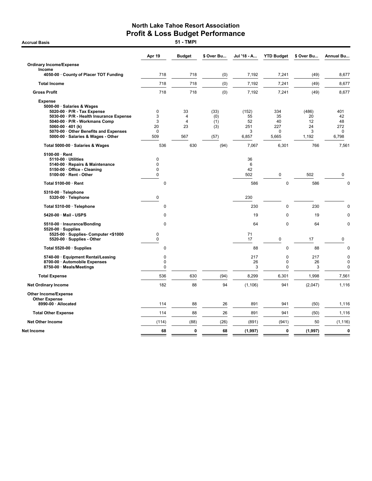**Accrual Basis** 

|                                                                                                                                   | Apr 19                                                   | <b>Budget</b> | \$ Over Bu        | Jul '18 - A          | <b>YTD Budget</b>           | \$ Over Bu     | <b>Annual Bu</b>                          |
|-----------------------------------------------------------------------------------------------------------------------------------|----------------------------------------------------------|---------------|-------------------|----------------------|-----------------------------|----------------|-------------------------------------------|
| <b>Ordinary Income/Expense</b>                                                                                                    |                                                          |               |                   |                      |                             |                |                                           |
| Income<br>4050-00 · County of Placer TOT Funding                                                                                  | 718                                                      | 718           | (0)               | 7,192                | 7,241                       | (49)           | 8,677                                     |
| <b>Total Income</b>                                                                                                               | 718                                                      | 718           | (0)               | 7,192                | 7,241                       | (49)           | 8,677                                     |
| <b>Gross Profit</b>                                                                                                               | 718                                                      | 718           | (0)               | 7,192                | 7,241                       | (49)           | 8,677                                     |
| <b>Expense</b><br>5000-00 · Salaries & Wages<br>$5020-00 \cdot P/R$ - Tax Expense                                                 | 0                                                        | 33            | (33)              | (152)                | 334                         | (486)          | 401                                       |
| 5030-00 · P/R - Health Insurance Expense<br>5040-00 · P/R - Workmans Comp<br>5060-00 $\cdot$ 401 (k)                              | 3<br>3<br>20                                             | 4<br>4<br>23  | (0)<br>(1)<br>(3) | 55<br>52<br>251      | 35<br>40<br>227             | 20<br>12<br>24 | 42<br>48<br>272                           |
| 5070-00 Other Benefits and Expenses<br>5000-00 · Salaries & Wages - Other                                                         | $\Omega$<br>509                                          | 567           | (57)              | 3<br>6,857           | 0<br>5,665                  | 3<br>1,192     | 0<br>6,798                                |
| Total 5000-00 · Salaries & Wages                                                                                                  | 536                                                      | 630           | (94)              | 7,067                | 6,301                       | 766            | 7,561                                     |
| 5100-00 · Rent<br>5110-00 · Utilities<br>5140-00 · Repairs & Maintenance<br>5150-00 · Office - Cleaning<br>5100-00 · Rent - Other | $\mathbf 0$<br>$\mathbf 0$<br>$\mathbf 0$<br>$\mathbf 0$ |               |                   | 36<br>6<br>42<br>502 | 0                           | 502            | 0                                         |
| Total 5100-00 · Rent                                                                                                              | $\mathbf 0$                                              |               |                   | 586                  | $\pmb{0}$                   | 586            | $\mathbf 0$                               |
| 5310-00 · Telephone                                                                                                               |                                                          |               |                   |                      |                             |                |                                           |
| 5320-00 · Telephone                                                                                                               | $\mathbf 0$                                              |               |                   | 230                  |                             |                |                                           |
| Total 5310-00 · Telephone                                                                                                         | 0                                                        |               |                   | 230                  | 0                           | 230            | $\mathbf 0$                               |
| 5420-00 · Mail - USPS                                                                                                             | 0                                                        |               |                   | 19                   | 0                           | 19             | $\mathbf 0$                               |
| 5510-00 · Insurance/Bonding                                                                                                       | 0                                                        |               |                   | 64                   | $\mathbf 0$                 | 64             | $\mathbf 0$                               |
| $5520-00 \cdot$ Supplies<br>5525-00 · Supplies- Computer <\$1000<br>5520-00 · Supplies - Other                                    | $\mathbf 0$<br>$\mathbf 0$                               |               |                   | 71<br>17             | 0                           | 17             | 0                                         |
| Total 5520-00 · Supplies                                                                                                          | 0                                                        |               |                   | 88                   | $\mathbf 0$                 | 88             | $\mathbf 0$                               |
| 5740-00 · Equipment Rental/Leasing<br>8700-00 · Automobile Expenses<br>8750-00 · Meals/Meetings                                   | $\mathbf{0}$<br>0<br>$\mathbf 0$                         |               |                   | 217<br>26<br>3       | $\pmb{0}$<br>$\pmb{0}$<br>0 | 217<br>26<br>3 | $\mathbf 0$<br>$\mathbf 0$<br>$\mathbf 0$ |
| <b>Total Expense</b>                                                                                                              | 536                                                      | 630           | (94)              | 8,299                | 6,301                       | 1,998          | 7,561                                     |
| <b>Net Ordinary Income</b>                                                                                                        | 182                                                      | 88            | 94                | (1, 106)             | 941                         | (2,047)        | 1,116                                     |
| <b>Other Income/Expense</b><br><b>Other Expense</b>                                                                               |                                                          |               |                   |                      |                             |                |                                           |
| 8990-00 · Allocated                                                                                                               | 114                                                      | 88            | 26                | 891                  | 941                         | (50)           | 1,116                                     |
| <b>Total Other Expense</b>                                                                                                        | 114                                                      | 88            | 26                | 891                  | 941                         | (50)           | 1,116                                     |
| <b>Net Other Income</b>                                                                                                           | (114)                                                    | (88)          | (26)              | (891)                | (941)                       | 50             | (1, 116)                                  |
| Net Income                                                                                                                        | 68                                                       | 0             | 68                | (1,997)              | 0                           | (1, 997)       | $\mathbf 0$                               |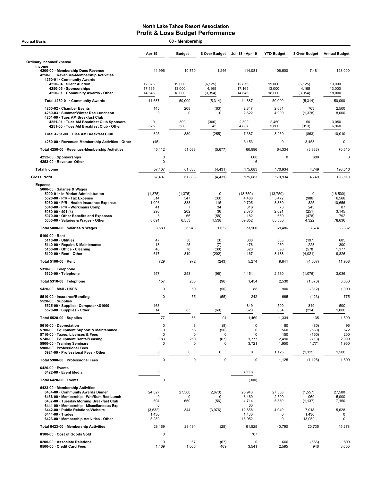| 60 - Membership<br><b>Accrual Basis</b>                                                                                                                                                                                                                                    |                                                      |                                              |                                            |                                                             |                                                  |                                                         |                                                    |  |  |  |
|----------------------------------------------------------------------------------------------------------------------------------------------------------------------------------------------------------------------------------------------------------------------------|------------------------------------------------------|----------------------------------------------|--------------------------------------------|-------------------------------------------------------------|--------------------------------------------------|---------------------------------------------------------|----------------------------------------------------|--|--|--|
|                                                                                                                                                                                                                                                                            | Apr 19                                               | <b>Budget</b>                                | \$ Over Budget                             | Jul '18 - Apr 19                                            | <b>YTD Budget</b>                                | \$ Over Budget                                          | <b>Annual Budget</b>                               |  |  |  |
| <b>Ordinary Income/Expense</b>                                                                                                                                                                                                                                             |                                                      |                                              |                                            |                                                             |                                                  |                                                         |                                                    |  |  |  |
| Income<br>4200-00 · Membership Dues Revenue<br>4250-00 · Revenues-Membership Activities<br>4250-01 · Community Awards                                                                                                                                                      | 11,996                                               | 10,750                                       | 1,246                                      | 114,081                                                     | 106,600                                          | 7,481                                                   | 128,000                                            |  |  |  |
| 4250-04 · Silent Auction<br>4250-05 · Sponsorships                                                                                                                                                                                                                         | 12,876<br>17,165                                     | 19,000<br>13,000                             | (6, 125)<br>4,165                          | 12,876<br>17,165                                            | 19,000<br>13,000                                 | (6, 125)<br>4,165                                       | 19,000<br>13,000                                   |  |  |  |
| 4250-01 Community Awards - Other                                                                                                                                                                                                                                           | 14,646                                               | 18,000                                       | (3, 354)                                   | 14,646                                                      | 18,000                                           | (3, 354)                                                | 18,000                                             |  |  |  |
| Total 4250-01 · Community Awards                                                                                                                                                                                                                                           | 44,687<br>145                                        | 50,000                                       | (5,314)                                    | 44,687                                                      | 50,000                                           | (5, 314)                                                | 50,000                                             |  |  |  |
| 4250-02 · Chamber Events<br>4250-03 · Summer/Winter Rec Luncheon<br>4251-00 · Tues AM Breakfast Club                                                                                                                                                                       | 0                                                    | 208<br>0                                     | (63)<br>$\mathbf 0$                        | 2,847<br>2,622                                              | 2,084<br>4,000                                   | 763<br>(1, 378)                                         | 2,500<br>8,000                                     |  |  |  |
| 4251-01 · Tues AM Breakfast Club Sponsors<br>4251-00 · Tues AM Breakfast Club - Other                                                                                                                                                                                      | $\mathbf 0$<br>625                                   | 300<br>580                                   | (300)<br>45                                | 2,500<br>4,887                                              | 2,450<br>5,800                                   | 50<br>(913)                                             | 3,050<br>6,960                                     |  |  |  |
| Total 4251-00 · Tues AM Breakfast Club                                                                                                                                                                                                                                     | 625                                                  | 880                                          | (255)                                      | 7,387                                                       | 8,250                                            | (863)                                                   | 10,010                                             |  |  |  |
| 4250-00 · Revenues-Membership Activities - Other                                                                                                                                                                                                                           | (45)                                                 |                                              |                                            | 3,453                                                       | 0                                                | 3,453                                                   | 0                                                  |  |  |  |
| Total 4250-00 · Revenues-Membership Activities                                                                                                                                                                                                                             | 45,412                                               | 51,088                                       | (5,677)                                    | 60,996                                                      | 64,334                                           | (3,338)                                                 | 70,510                                             |  |  |  |
| 4252-00 · Sponsorships<br>4253-00 · Revenue- Other                                                                                                                                                                                                                         | $\mathbf 0$<br>$\mathbf 0$                           |                                              |                                            | 600<br>6                                                    | 0                                                | 600                                                     | $\Omega$                                           |  |  |  |
| <b>Total Income</b>                                                                                                                                                                                                                                                        | 57,407                                               | 61,838                                       | (4, 431)                                   | 175,683                                                     | 170,934                                          | 4,749                                                   | 198,510                                            |  |  |  |
| <b>Gross Profit</b>                                                                                                                                                                                                                                                        | 57,407                                               | 61,838                                       | (4, 431)                                   | 175,683                                                     | 170,934                                          | 4,749                                                   | 198,510                                            |  |  |  |
| <b>Expense</b><br>5000-00 · Salaries & Wages<br>5000-01 · In-Market Administration<br>5020-00 · P/R - Tax Expense<br>5030-00 · P/R - Health Insurance Expense<br>5040-00 · P/R - Workmans Comp<br>5060-00 $\cdot$ 401 (k)<br>5070-00 Other Benefits and Expenses           | (1, 375)<br>514<br>1,003<br>41<br>298<br>8           | (1, 375)<br>547<br>888<br>7<br>262<br>66     | 0<br>(33)<br>115<br>34<br>36<br>(58)       | (13,750)<br>4,486<br>9,705<br>316<br>2,370<br>182           | (13,750)<br>5,472<br>8,880<br>73<br>2,621<br>660 | 0<br>(986)<br>825<br>243<br>(251)<br>(478)              | (16, 500)<br>6,566<br>10,656<br>87<br>3,145<br>792 |  |  |  |
| 5000-00 · Salaries & Wages - Other                                                                                                                                                                                                                                         | 8,091                                                | 6,553                                        | 1,538                                      | 69,852                                                      | 65,530                                           | 4,322                                                   | 78,636                                             |  |  |  |
| Total 5000-00 · Salaries & Wages                                                                                                                                                                                                                                           | 8,580                                                | 6,948                                        | 1,632                                      | 73,160                                                      | 69,486                                           | 3,674                                                   | 83,382                                             |  |  |  |
| $5100-00 \cdot$ Rent<br>$5110-00 \cdot$ Utilities<br>5140-00 · Repairs & Maintenance<br>5150-00 Office - Cleaning<br>$5100-00 \cdot$ Rent - Other                                                                                                                          | 47<br>18<br>48<br>617                                | 50<br>25<br>78<br>819                        | (3)<br>(7)<br>(30)<br>(202)                | 308<br>478<br>320<br>4,167                                  | 505<br>250<br>898<br>8,188                       | (197)<br>228<br>(578)<br>(4,021)                        | 605<br>300<br>1,177<br>9,826                       |  |  |  |
| Total 5100-00 · Rent                                                                                                                                                                                                                                                       | 729                                                  | 972                                          | (243)                                      | 5,274                                                       | 9,841                                            | (4, 567)                                                | 11,908                                             |  |  |  |
| 5310-00 · Telephone<br>5320-00 · Telephone                                                                                                                                                                                                                                 | 157                                                  | 253                                          | (96)                                       | 1,454                                                       | 2,530                                            | (1,076)                                                 | 3,036                                              |  |  |  |
| Total 5310-00 · Telephone                                                                                                                                                                                                                                                  | 157                                                  | 253                                          | (96)                                       | 1,454                                                       | 2,530                                            | (1,076)                                                 | 3,036                                              |  |  |  |
| 5420-00 · Mail - USPS                                                                                                                                                                                                                                                      | $\mathbf 0$                                          | 50                                           | (50)                                       | 88                                                          | 900                                              | (812)                                                   | 1,000                                              |  |  |  |
| 5510-00 · Insurance/Bonding<br>$5520-00 \cdot$ Supplies<br>5525-00 · Supplies- Computer <\$1000                                                                                                                                                                            | 0<br>163                                             | 55                                           | (55)                                       | 242<br>849                                                  | 665<br>500                                       | (423)<br>349                                            | 775<br>500                                         |  |  |  |
| 5520-00 · Supplies - Other                                                                                                                                                                                                                                                 | 14                                                   | 83                                           | (69)                                       | 620                                                         | 834                                              | (214)                                                   | 1,000                                              |  |  |  |
| Total 5520-00 · Supplies<br>5610-00 Depreciation                                                                                                                                                                                                                           | 177<br>$\mathbf 0$                                   | 83<br>8                                      | 94<br>(8)                                  | 1,469<br>0                                                  | 1,334<br>80                                      | 135<br>(80)                                             | 1,500<br>96                                        |  |  |  |
| 5700-00 · Equipment Support & Maintenance<br>5710-00 · Taxes, Licenses & Fees<br>5740-00 · Equipment Rental/Leasing<br>5800-00 · Training Seminars<br>5900-00 · Professional Fees<br>5921-00 · Professional Fees - Other                                                   | $\mathbf 0$<br>$\mathbf 0$<br>183<br>$\mathbf 0$     | 56<br>$\mathbf 0$<br>250<br>$\mathbf 0$<br>0 | (56)<br>0<br>(67)<br>0<br>0                | 0<br>0<br>1,777<br>3,721<br>$\pmb{0}$                       | 560<br>150<br>2,490<br>1,950                     | (560)<br>(150)<br>(713)<br>1,771                        | 672<br>200<br>2,990<br>1,950                       |  |  |  |
| Total 5900-00 · Professional Fees                                                                                                                                                                                                                                          | 0<br>$\mathbf 0$                                     | $\mathbf 0$                                  | $\pmb{0}$                                  | $\mathbf 0$                                                 | 1,125<br>1,125                                   | (1, 125)<br>(1, 125)                                    | 1,500<br>1,500                                     |  |  |  |
| 6420-00 · Events                                                                                                                                                                                                                                                           |                                                      |                                              |                                            |                                                             |                                                  |                                                         |                                                    |  |  |  |
| 6422-00 · Event Media<br>Total 6420-00 · Events                                                                                                                                                                                                                            | $\pmb{0}$<br>$\mathbf 0$                             |                                              |                                            | (300)<br>(300)                                              |                                                  |                                                         |                                                    |  |  |  |
| 6423-00 · Membership Activities                                                                                                                                                                                                                                            |                                                      |                                              |                                            |                                                             |                                                  |                                                         |                                                    |  |  |  |
| 6434-00 · Community Awards Dinner<br>6436-00 · Membership - Wnt/Sum Rec Lunch<br>6437-00 · Tuesday Morning Breakfast Club<br>6441-00 · Membership - Miscellaneous Exp<br>6442-00 · Public Relations/Website<br>6444-00 · Trades<br>6423-00 · Membership Activities - Other | 24,827<br>0<br>594<br>0<br>(3,632)<br>1,430<br>5,250 | 27,500<br>0<br>650<br>344                    | (2,673)<br><sup>0</sup><br>(56)<br>(3,976) | 25,943<br>3,469<br>4,714<br>60<br>12,858<br>1,430<br>13,052 | 27,500<br>2,500<br>5,850<br>4,940<br>0<br>0      | (1, 557)<br>969<br>(1, 137)<br>7,918<br>1,430<br>13,052 | 27,500<br>5,000<br>7,150<br>5,628<br>0<br>0        |  |  |  |
| Total 6423-00 · Membership Activities                                                                                                                                                                                                                                      | 28,469                                               | 28,494                                       | (25)                                       | 61,525                                                      | 40,790                                           | 20,735                                                  | 45,278                                             |  |  |  |
| 8100-00 · Cost of Goods Sold                                                                                                                                                                                                                                               | $\mathbf 0$                                          |                                              |                                            | 707                                                         |                                                  |                                                         |                                                    |  |  |  |
| 8200-00 · Associate Relations<br>8500-00 · Credit Card Fees                                                                                                                                                                                                                | $\mathbf 0$<br>1,469                                 | 67<br>1,000                                  | (67)<br>469                                | 0<br>3,541                                                  | 666<br>2,595                                     | (666)<br>946                                            | 800<br>3,000                                       |  |  |  |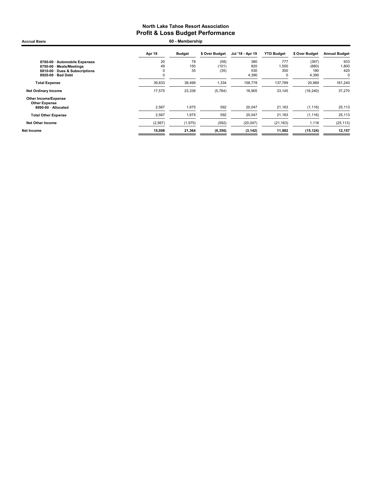Accrual Basis **60 - Membership** 

| Apr 19   | <b>Budget</b> | \$ Over Budget | Jul '18 - Apr 19 | <b>YTD Budget</b> | \$ Over Budget | <b>Annual Budget</b> |
|----------|---------------|----------------|------------------|-------------------|----------------|----------------------|
| 20       | 78            | (58)           | 380              | 777               | (397)          | 933                  |
| 49       | 150           | (101)          | 820              | 1,500             | (680)          | 1,800                |
|          | 35            | (35)           | 530              | 350               | 180            | 420                  |
|          |               |                | 4,390            | 0                 | 4,390          | $\mathbf 0$          |
| 39,833   | 38,499        | 1,334          | 158,778          | 137,789           | 20,989         | 161,240              |
| 17,575   | 23,339        | (5,764)        | 16,905           | 33,145            | (16, 240)      | 37,270               |
|          |               |                |                  |                   |                | 25,113               |
|          |               |                |                  |                   |                |                      |
| 2,567    | 1,975         | 592            | 20,047           | 21,163            | (1, 116)       | 25,113               |
| (2, 567) | (1, 975)      | (592)          | (20, 047)        | (21, 163)         | 1,116          | (25, 113)            |
| 15,008   | 21,364        | (6, 356)       | (3, 142)         | 11,982            | (15, 124)      | 12,157               |
|          | 2,567         | 1,975          | 592              | 20,047            | 21,163         | (1, 116)             |